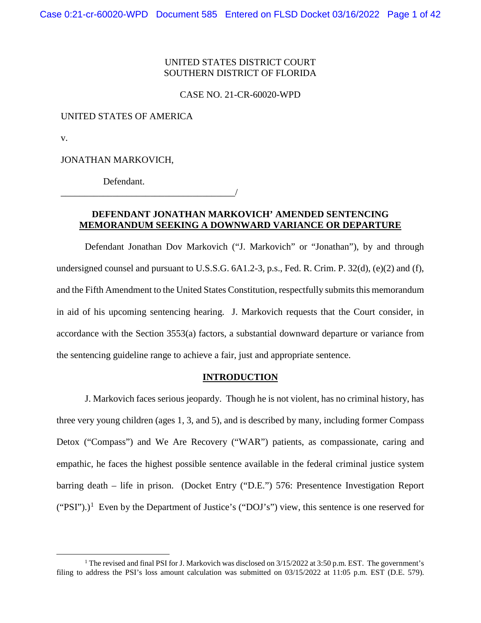#### UNITED STATES DISTRICT COURT SOUTHERN DISTRICT OF FLORIDA

CASE NO. 21-CR-60020-WPD

## UNITED STATES OF AMERICA

v.

JONATHAN MARKOVICH,

Defendant.

\_\_\_\_\_\_\_\_\_\_\_\_\_\_\_\_\_\_\_\_\_\_\_\_\_\_\_\_\_\_\_\_\_\_\_\_\_/

#### **DEFENDANT JONATHAN MARKOVICH' AMENDED SENTENCING MEMORANDUM SEEKING A DOWNWARD VARIANCE OR DEPARTURE**

Defendant Jonathan Dov Markovich ("J. Markovich" or "Jonathan"), by and through undersigned counsel and pursuant to U.S.S.G. 6A1.2-3, p.s., Fed. R. Crim. P. 32(d), (e)(2) and (f), and the Fifth Amendment to the United States Constitution, respectfully submits this memorandum in aid of his upcoming sentencing hearing. J. Markovich requests that the Court consider, in accordance with the Section 3553(a) factors, a substantial downward departure or variance from the sentencing guideline range to achieve a fair, just and appropriate sentence.

#### **INTRODUCTION**

J. Markovich faces serious jeopardy. Though he is not violent, has no criminal history, has three very young children (ages 1, 3, and 5), and is described by many, including former Compass Detox ("Compass") and We Are Recovery ("WAR") patients, as compassionate, caring and empathic, he faces the highest possible sentence available in the federal criminal justice system barring death – life in prison. (Docket Entry ("D.E.") 576: Presentence Investigation Report  $("PSI").$ <sup>[1](#page-0-0)</sup> Even by the Department of Justice's  $("DOJ's")$  view, this sentence is one reserved for

<span id="page-0-0"></span><sup>&</sup>lt;sup>1</sup> The revised and final PSI for J. Markovich was disclosed on 3/15/2022 at 3:50 p.m. EST. The government's filing to address the PSI's loss amount calculation was submitted on 03/15/2022 at 11:05 p.m. EST (D.E. 579).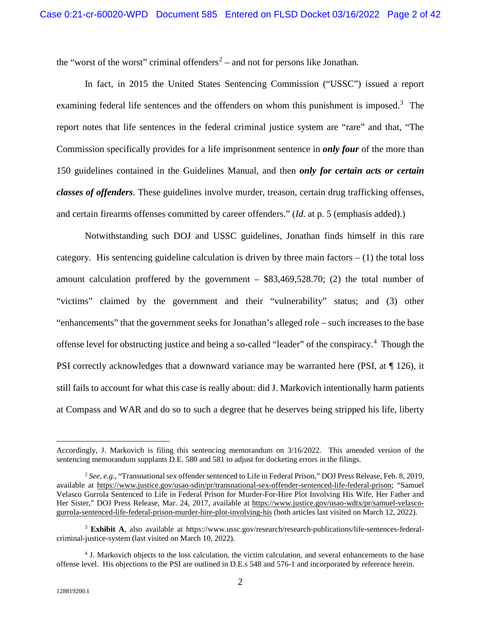the "worst of the worst" criminal offenders<sup>[2](#page-1-0)</sup> – and not for persons like Jonathan.

In fact, in 2015 the United States Sentencing Commission ("USSC") issued a report examining federal life sentences and the offenders on whom this punishment is imposed.<sup>[3](#page-1-1)</sup> The report notes that life sentences in the federal criminal justice system are "rare" and that, "The Commission specifically provides for a life imprisonment sentence in *only four* of the more than 150 guidelines contained in the Guidelines Manual, and then *only for certain acts or certain classes of offenders*. These guidelines involve murder, treason, certain drug trafficking offenses, and certain firearms offenses committed by career offenders." (*Id*. at p. 5 (emphasis added).)

Notwithstanding such DOJ and USSC guidelines, Jonathan finds himself in this rare category. His sentencing guideline calculation is driven by three main factors  $- (1)$  the total loss amount calculation proffered by the government  $-$  \$83,469,528.70; (2) the total number of "victims" claimed by the government and their "vulnerability" status; and (3) other "enhancements" that the government seeks for Jonathan's alleged role – such increases to the base offense level for obstructing justice and being a so-called "leader" of the conspiracy.[4](#page-1-2) Though the PSI correctly acknowledges that a downward variance may be warranted here (PSI, at ¶ 126), it still fails to account for what this case is really about: did J. Markovich intentionally harm patients at Compass and WAR and do so to such a degree that he deserves being stripped his life, liberty

 $\overline{a}$ 

Accordingly, J. Markovich is filing this sentencing memorandum on 3/16/2022. This amended version of the sentencing memorandum supplants D.E. 580 and 581 to adjust for docketing errors in the filings.

<span id="page-1-0"></span><sup>2</sup> *See, e.g.,* "Transnational sex offender sentenced to Life in Federal Prison," DOJ Press Release, Feb. 8, 2019, available at https://www.justice.gov/usao-sdin/pr/transnational-sex-offender-sentenced-life-federal-prison; "Samuel Velasco Gurrola Sentenced to Life in Federal Prison for Murder-For-Hire Plot Involving His Wife, Her Father and Her Sister," DOJ Press Release, Mar. 24, 2017, available at https://www.justice.gov/usao-wdtx/pr/samuel-velascogurrola-sentenced-life-federal-prison-murder-hire-plot-involving-his (both articles last visited on March 12, 2022).

<span id="page-1-1"></span><sup>&</sup>lt;sup>3</sup> Exhibit A, also available at https://www.ussc.gov/research/research-publications/life-sentences-federalcriminal-justice-system (last visited on March 10, 2022).

<span id="page-1-2"></span><sup>4</sup> J. Markovich objects to the loss calculation, the victim calculation, and several enhancements to the base offense level. His objections to the PSI are outlined in D.E.s 548 and 576-1 and incorporated by reference herein.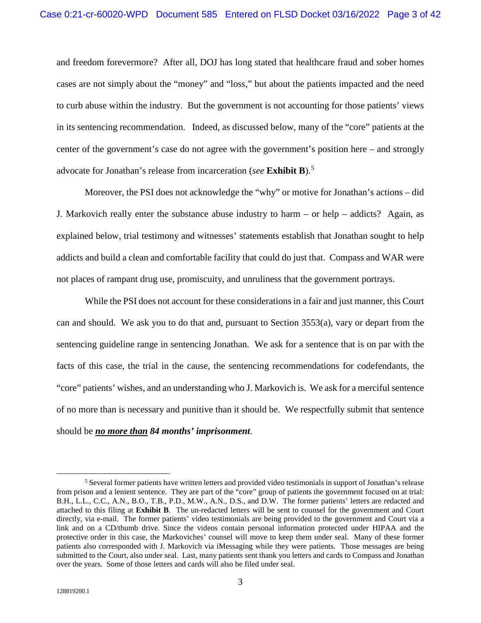and freedom forevermore? After all, DOJ has long stated that healthcare fraud and sober homes cases are not simply about the "money" and "loss," but about the patients impacted and the need to curb abuse within the industry. But the government is not accounting for those patients' views in its sentencing recommendation. Indeed, as discussed below, many of the "core" patients at the center of the government's case do not agree with the government's position here – and strongly advocate for Jonathan's release from incarceration (*see* **Exhibit B**).[5](#page-2-0)

Moreover, the PSI does not acknowledge the "why" or motive for Jonathan's actions – did J. Markovich really enter the substance abuse industry to harm – or help – addicts? Again, as explained below, trial testimony and witnesses' statements establish that Jonathan sought to help addicts and build a clean and comfortable facility that could do just that. Compass and WAR were not places of rampant drug use, promiscuity, and unruliness that the government portrays.

While the PSI does not account for these considerations in a fair and just manner, this Court can and should. We ask you to do that and, pursuant to Section 3553(a), vary or depart from the sentencing guideline range in sentencing Jonathan. We ask for a sentence that is on par with the facts of this case, the trial in the cause, the sentencing recommendations for codefendants, the "core" patients' wishes, and an understanding who J. Markovich is. We ask for a merciful sentence of no more than is necessary and punitive than it should be. We respectfully submit that sentence should be *no more than 84 months' imprisonment*.

<span id="page-2-0"></span> <sup>5</sup> Several former patients have written letters and provided video testimonials in support of Jonathan's release from prison and a lenient sentence. They are part of the "core" group of patients the government focused on at trial: B.H., L.L., C.C., A.N., B.O., T.B., P.D., M.W., A.N., D.S., and D.W. The former patients' letters are redacted and attached to this filing at **Exhibit B**. The un-redacted letters will be sent to counsel for the government and Court directly, via e-mail. The former patients' video testimonials are being provided to the government and Court via a link and on a CD/thumb drive. Since the videos contain personal information protected under HIPAA and the protective order in this case, the Markoviches' counsel will move to keep them under seal. Many of these former patients also corresponded with J. Markovich via iMessaging while they were patients. Those messages are being submitted to the Court, also under seal. Last, many patients sent thank you letters and cards to Compass and Jonathan over the years. Some of those letters and cards will also be filed under seal.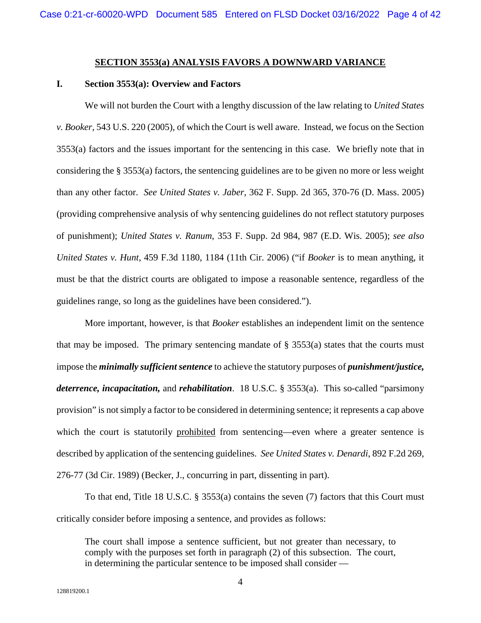#### **SECTION 3553(a) ANALYSIS FAVORS A DOWNWARD VARIANCE**

#### **I. Section 3553(a): Overview and Factors**

We will not burden the Court with a lengthy discussion of the law relating to *United States v. Booker*, 543 U.S. 220 (2005), of which the Court is well aware. Instead, we focus on the Section 3553(a) factors and the issues important for the sentencing in this case. We briefly note that in considering the § 3553(a) factors, the sentencing guidelines are to be given no more or less weight than any other factor. *See United States v. Jaber*, 362 F. Supp. 2d 365, 370-76 (D. Mass. 2005) (providing comprehensive analysis of why sentencing guidelines do not reflect statutory purposes of punishment); *United States v. Ranum*, 353 F. Supp. 2d 984, 987 (E.D. Wis. 2005); *see also United States v. Hunt*, 459 F.3d 1180, 1184 (11th Cir. 2006) ("if *Booker* is to mean anything, it must be that the district courts are obligated to impose a reasonable sentence, regardless of the guidelines range, so long as the guidelines have been considered.").

More important, however, is that *Booker* establishes an independent limit on the sentence that may be imposed. The primary sentencing mandate of  $\S$  3553(a) states that the courts must impose the *minimally sufficient sentence* to achieve the statutory purposes of *punishment/justice, deterrence, incapacitation,* and *rehabilitation*. 18 U.S.C. § 3553(a). This so-called "parsimony provision" is not simply a factor to be considered in determining sentence; it represents a cap above which the court is statutorily prohibited from sentencing—even where a greater sentence is described by application of the sentencing guidelines. *See United States v. Denardi*, 892 F.2d 269, 276-77 (3d Cir. 1989) (Becker, J., concurring in part, dissenting in part).

To that end, Title 18 U.S.C. § 3553(a) contains the seven (7) factors that this Court must critically consider before imposing a sentence, and provides as follows:

The court shall impose a sentence sufficient, but not greater than necessary, to comply with the purposes set forth in paragraph (2) of this subsection. The court, in determining the particular sentence to be imposed shall consider —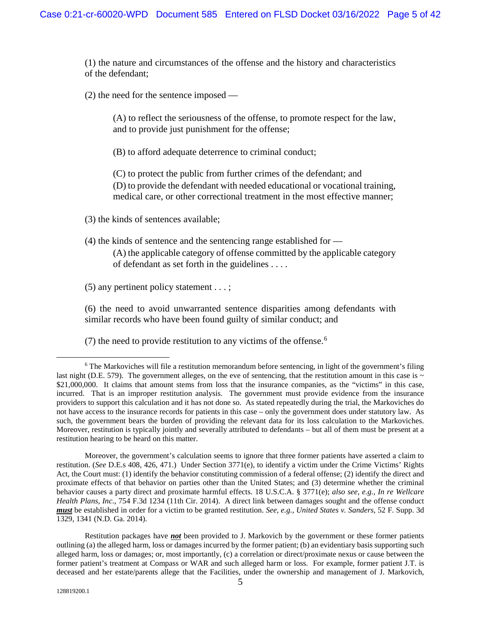(1) the nature and circumstances of the offense and the history and characteristics of the defendant;

(2) the need for the sentence imposed —

(A) to reflect the seriousness of the offense, to promote respect for the law, and to provide just punishment for the offense;

(B) to afford adequate deterrence to criminal conduct;

(C) to protect the public from further crimes of the defendant; and (D) to provide the defendant with needed educational or vocational training, medical care, or other correctional treatment in the most effective manner;

(3) the kinds of sentences available;

(4) the kinds of sentence and the sentencing range established for — (A) the applicable category of offense committed by the applicable category of defendant as set forth in the guidelines . . . .

(5) any pertinent policy statement . . . ;

(6) the need to avoid unwarranted sentence disparities among defendants with similar records who have been found guilty of similar conduct; and

(7) the need to provide restitution to any victims of the offense.<sup>[6](#page-4-0)</sup>

<span id="page-4-0"></span><sup>&</sup>lt;sup>6</sup> The Markoviches will file a restitution memorandum before sentencing, in light of the government's filing last night (D.E. 579). The government alleges, on the eve of sentencing, that the restitution amount in this case is  $\sim$ \$21,000,000. It claims that amount stems from loss that the insurance companies, as the "victims" in this case, incurred. That is an improper restitution analysis. The government must provide evidence from the insurance providers to support this calculation and it has not done so. As stated repeatedly during the trial, the Markoviches do not have access to the insurance records for patients in this case – only the government does under statutory law. As such, the government bears the burden of providing the relevant data for its loss calculation to the Markoviches. Moreover, restitution is typically jointly and severally attributed to defendants – but all of them must be present at a restitution hearing to be heard on this matter.

Moreover, the government's calculation seems to ignore that three former patients have asserted a claim to restitution. (*See* D.E.s 408, 426, 471.) Under Section 3771(e), to identify a victim under the Crime Victims' Rights Act, the Court must: (1) identify the behavior constituting commission of a federal offense; (2) identify the direct and proximate effects of that behavior on parties other than the United States; and (3) determine whether the criminal behavior causes a party direct and proximate harmful effects. 18 U.S.C.A. § 3771(e); *also see, e.g., In re Wellcare Health Plans, Inc*., 754 F.3d 1234 (11th Cir. 2014). A direct link between damages sought and the offense conduct *must* be established in order for a victim to be granted restitution. *See, e.g., United States v. Sanders*, 52 F. Supp. 3d 1329, 1341 (N.D. Ga. 2014).

Restitution packages have *not* been provided to J. Markovich by the government or these former patients outlining (a) the alleged harm, loss or damages incurred by the former patient; (b) an evidentiary basis supporting such alleged harm, loss or damages; or, most importantly, (c) a correlation or direct/proximate nexus or cause between the former patient's treatment at Compass or WAR and such alleged harm or loss. For example, former patient J.T. is deceased and her estate/parents allege that the Facilities, under the ownership and management of J. Markovich,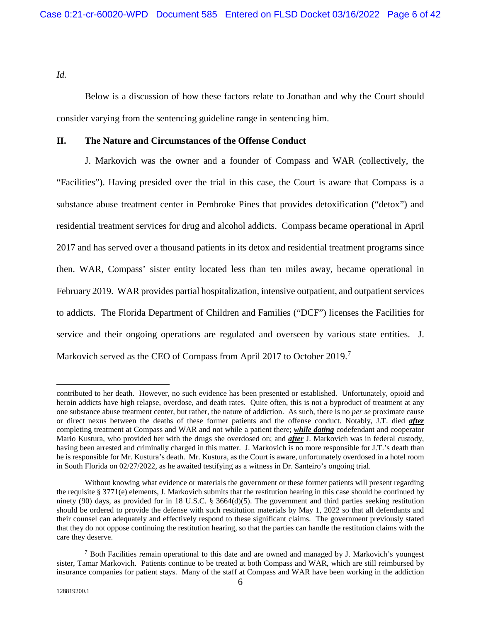*Id.*

Below is a discussion of how these factors relate to Jonathan and why the Court should consider varying from the sentencing guideline range in sentencing him.

#### **II. The Nature and Circumstances of the Offense Conduct**

J. Markovich was the owner and a founder of Compass and WAR (collectively, the "Facilities"). Having presided over the trial in this case, the Court is aware that Compass is a substance abuse treatment center in Pembroke Pines that provides detoxification ("detox") and residential treatment services for drug and alcohol addicts. Compass became operational in April 2017 and has served over a thousand patients in its detox and residential treatment programs since then. WAR, Compass' sister entity located less than ten miles away, became operational in February 2019. WAR provides partial hospitalization, intensive outpatient, and outpatient services to addicts. The Florida Department of Children and Families ("DCF") licenses the Facilities for service and their ongoing operations are regulated and overseen by various state entities. J. Markovich served as the CEO of Compass from April 201[7](#page-5-0) to October 2019.<sup>7</sup>

 $\overline{a}$ 

contributed to her death. However, no such evidence has been presented or established. Unfortunately, opioid and heroin addicts have high relapse, overdose, and death rates. Quite often, this is not a byproduct of treatment at any one substance abuse treatment center, but rather, the nature of addiction. As such, there is no *per se* proximate cause or direct nexus between the deaths of these former patients and the offense conduct. Notably, J.T. died *after* completing treatment at Compass and WAR and not while a patient there; *while dating* codefendant and cooperator Mario Kustura, who provided her with the drugs she overdosed on; and *after* J. Markovich was in federal custody, having been arrested and criminally charged in this matter. J. Markovich is no more responsible for J.T.'s death than he is responsible for Mr. Kustura's death. Mr. Kustura, as the Court is aware, unfortunately overdosed in a hotel room in South Florida on 02/27/2022, as he awaited testifying as a witness in Dr. Santeiro's ongoing trial.

Without knowing what evidence or materials the government or these former patients will present regarding the requisite § 3771(e) elements, J. Markovich submits that the restitution hearing in this case should be continued by ninety (90) days, as provided for in 18 U.S.C. § 3664(d)(5). The government and third parties seeking restitution should be ordered to provide the defense with such restitution materials by May 1, 2022 so that all defendants and their counsel can adequately and effectively respond to these significant claims. The government previously stated that they do not oppose continuing the restitution hearing, so that the parties can handle the restitution claims with the care they deserve.

<span id="page-5-0"></span><sup>7</sup> Both Facilities remain operational to this date and are owned and managed by J. Markovich's youngest sister, Tamar Markovich. Patients continue to be treated at both Compass and WAR, which are still reimbursed by insurance companies for patient stays. Many of the staff at Compass and WAR have been working in the addiction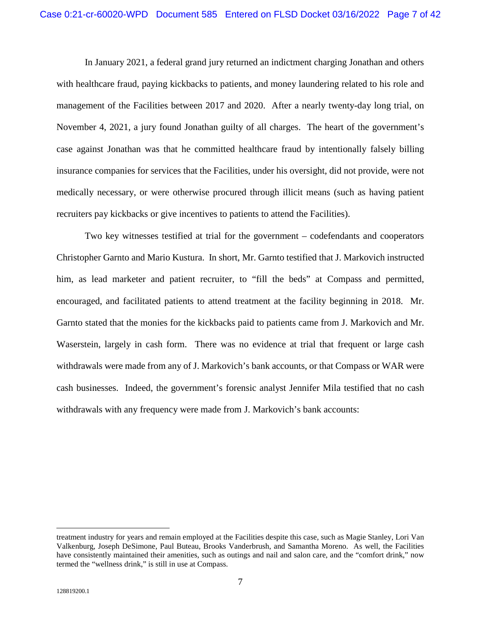In January 2021, a federal grand jury returned an indictment charging Jonathan and others with healthcare fraud, paying kickbacks to patients, and money laundering related to his role and management of the Facilities between 2017 and 2020. After a nearly twenty-day long trial, on November 4, 2021, a jury found Jonathan guilty of all charges. The heart of the government's case against Jonathan was that he committed healthcare fraud by intentionally falsely billing insurance companies for services that the Facilities, under his oversight, did not provide, were not medically necessary, or were otherwise procured through illicit means (such as having patient recruiters pay kickbacks or give incentives to patients to attend the Facilities).

Two key witnesses testified at trial for the government – codefendants and cooperators Christopher Garnto and Mario Kustura. In short, Mr. Garnto testified that J. Markovich instructed him, as lead marketer and patient recruiter, to "fill the beds" at Compass and permitted, encouraged, and facilitated patients to attend treatment at the facility beginning in 2018. Mr. Garnto stated that the monies for the kickbacks paid to patients came from J. Markovich and Mr. Waserstein, largely in cash form. There was no evidence at trial that frequent or large cash withdrawals were made from any of J. Markovich's bank accounts, or that Compass or WAR were cash businesses. Indeed, the government's forensic analyst Jennifer Mila testified that no cash withdrawals with any frequency were made from J. Markovich's bank accounts:

 $\overline{a}$ 

treatment industry for years and remain employed at the Facilities despite this case, such as Magie Stanley, Lori Van Valkenburg, Joseph DeSimone, Paul Buteau, Brooks Vanderbrush, and Samantha Moreno. As well, the Facilities have consistently maintained their amenities, such as outings and nail and salon care, and the "comfort drink," now termed the "wellness drink," is still in use at Compass.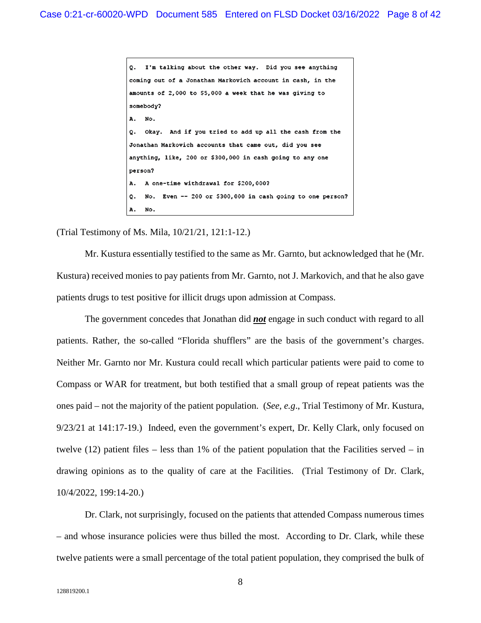I'm talking about the other way. Did you see anything  $\circ$ . coming out of a Jonathan Markovich account in cash, in the amounts of 2,000 to \$5,000 a week that he was giving to somebody? No. Α. Okay. And if you tried to add up all the cash from the о. Jonathan Markovich accounts that came out, did you see anything, like, 200 or \$300,000 in cash going to any one person? A one-time withdrawal for \$200,000? Α. No. Even -- 200 or \$300,000 in cash going to one person? o. No. Α.

(Trial Testimony of Ms. Mila, 10/21/21, 121:1-12.)

Mr. Kustura essentially testified to the same as Mr. Garnto, but acknowledged that he (Mr. Kustura) received monies to pay patients from Mr. Garnto, not J. Markovich, and that he also gave patients drugs to test positive for illicit drugs upon admission at Compass.

The government concedes that Jonathan did *not* engage in such conduct with regard to all patients. Rather, the so-called "Florida shufflers" are the basis of the government's charges. Neither Mr. Garnto nor Mr. Kustura could recall which particular patients were paid to come to Compass or WAR for treatment, but both testified that a small group of repeat patients was the ones paid – not the majority of the patient population. (*See, e.g*., Trial Testimony of Mr. Kustura, 9/23/21 at 141:17-19.) Indeed, even the government's expert, Dr. Kelly Clark, only focused on twelve (12) patient files – less than 1% of the patient population that the Facilities served – in drawing opinions as to the quality of care at the Facilities. (Trial Testimony of Dr. Clark, 10/4/2022, 199:14-20.)

Dr. Clark, not surprisingly, focused on the patients that attended Compass numerous times – and whose insurance policies were thus billed the most. According to Dr. Clark, while these twelve patients were a small percentage of the total patient population, they comprised the bulk of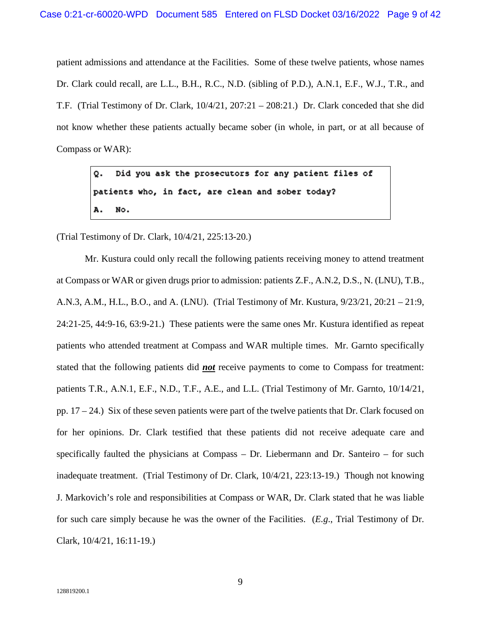patient admissions and attendance at the Facilities. Some of these twelve patients, whose names Dr. Clark could recall, are L.L., B.H., R.C., N.D. (sibling of P.D.), A.N.1, E.F., W.J., T.R., and T.F. (Trial Testimony of Dr. Clark, 10/4/21, 207:21 – 208:21.) Dr. Clark conceded that she did not know whether these patients actually became sober (in whole, in part, or at all because of Compass or WAR):

> Did you ask the prosecutors for any patient files of Q. patients who, in fact, are clean and sober today? No.

(Trial Testimony of Dr. Clark, 10/4/21, 225:13-20.)

Mr. Kustura could only recall the following patients receiving money to attend treatment at Compass or WAR or given drugs prior to admission: patients Z.F., A.N.2, D.S., N. (LNU), T.B., A.N.3, A.M., H.L., B.O., and A. (LNU). (Trial Testimony of Mr. Kustura, 9/23/21, 20:21 – 21:9, 24:21-25, 44:9-16, 63:9-21.) These patients were the same ones Mr. Kustura identified as repeat patients who attended treatment at Compass and WAR multiple times. Mr. Garnto specifically stated that the following patients did *not* receive payments to come to Compass for treatment: patients T.R., A.N.1, E.F., N.D., T.F., A.E., and L.L. (Trial Testimony of Mr. Garnto, 10/14/21, pp. 17 – 24.) Six of these seven patients were part of the twelve patients that Dr. Clark focused on for her opinions. Dr. Clark testified that these patients did not receive adequate care and specifically faulted the physicians at Compass – Dr. Liebermann and Dr. Santeiro – for such inadequate treatment. (Trial Testimony of Dr. Clark, 10/4/21, 223:13-19.) Though not knowing J. Markovich's role and responsibilities at Compass or WAR, Dr. Clark stated that he was liable for such care simply because he was the owner of the Facilities. (*E.g*., Trial Testimony of Dr. Clark, 10/4/21, 16:11-19.)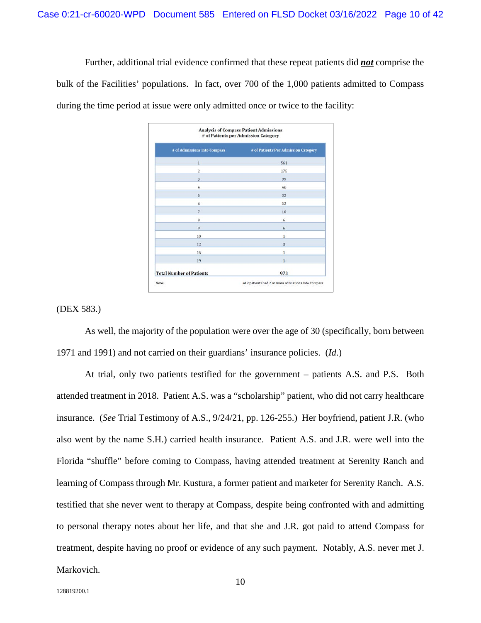Further, additional trial evidence confirmed that these repeat patients did *not* comprise the bulk of the Facilities' populations. In fact, over 700 of the 1,000 patients admitted to Compass during the time period at issue were only admitted once or twice to the facility:

| # of Admissions into Compass    | # of Patients Per Admission Category |
|---------------------------------|--------------------------------------|
| 1                               | 561                                  |
| $\overline{c}$                  | 175                                  |
| 3                               | 99                                   |
| 4                               | 46                                   |
| Ś                               | 32                                   |
| 6                               | 32                                   |
| 7                               | 10                                   |
| 8                               | 6                                    |
| 9                               | ĥ.                                   |
| 10                              | 1                                    |
| 12                              | $\overline{\mathbf{3}}$              |
| 16                              | 1                                    |
| 19                              | 1                                    |
| <b>Total Number of Patients</b> | 973                                  |

#### (DEX 583.)

As well, the majority of the population were over the age of 30 (specifically, born between 1971 and 1991) and not carried on their guardians' insurance policies. (*Id*.)

At trial, only two patients testified for the government – patients A.S. and P.S. Both attended treatment in 2018. Patient A.S. was a "scholarship" patient, who did not carry healthcare insurance. (*See* Trial Testimony of A.S., 9/24/21, pp. 126-255.) Her boyfriend, patient J.R. (who also went by the name S.H.) carried health insurance. Patient A.S. and J.R. were well into the Florida "shuffle" before coming to Compass, having attended treatment at Serenity Ranch and learning of Compass through Mr. Kustura, a former patient and marketer for Serenity Ranch. A.S. testified that she never went to therapy at Compass, despite being confronted with and admitting to personal therapy notes about her life, and that she and J.R. got paid to attend Compass for treatment, despite having no proof or evidence of any such payment. Notably, A.S. never met J. Markovich.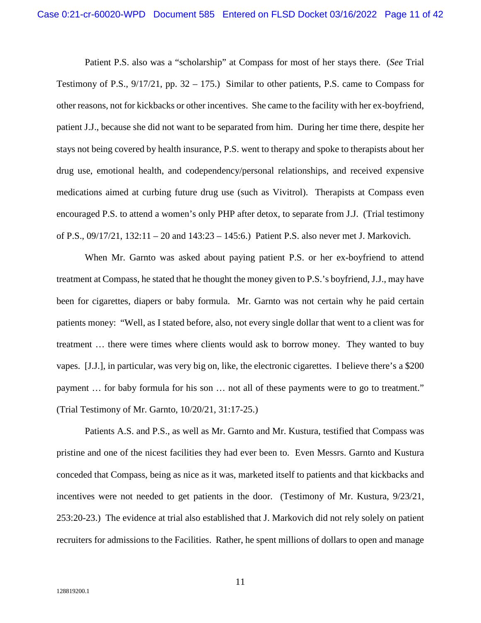Patient P.S. also was a "scholarship" at Compass for most of her stays there. (*See* Trial Testimony of P.S., 9/17/21, pp. 32 – 175.) Similar to other patients, P.S. came to Compass for other reasons, not for kickbacks or other incentives. She came to the facility with her ex-boyfriend, patient J.J., because she did not want to be separated from him. During her time there, despite her stays not being covered by health insurance, P.S. went to therapy and spoke to therapists about her drug use, emotional health, and codependency/personal relationships, and received expensive medications aimed at curbing future drug use (such as Vivitrol). Therapists at Compass even encouraged P.S. to attend a women's only PHP after detox, to separate from J.J. (Trial testimony of P.S., 09/17/21, 132:11 – 20 and 143:23 – 145:6.) Patient P.S. also never met J. Markovich.

When Mr. Garnto was asked about paying patient P.S. or her ex-boyfriend to attend treatment at Compass, he stated that he thought the money given to P.S.'s boyfriend, J.J., may have been for cigarettes, diapers or baby formula. Mr. Garnto was not certain why he paid certain patients money: "Well, as I stated before, also, not every single dollar that went to a client was for treatment … there were times where clients would ask to borrow money. They wanted to buy vapes. [J.J.], in particular, was very big on, like, the electronic cigarettes. I believe there's a \$200 payment … for baby formula for his son … not all of these payments were to go to treatment." (Trial Testimony of Mr. Garnto, 10/20/21, 31:17-25.)

Patients A.S. and P.S., as well as Mr. Garnto and Mr. Kustura, testified that Compass was pristine and one of the nicest facilities they had ever been to. Even Messrs. Garnto and Kustura conceded that Compass, being as nice as it was, marketed itself to patients and that kickbacks and incentives were not needed to get patients in the door. (Testimony of Mr. Kustura, 9/23/21, 253:20-23.) The evidence at trial also established that J. Markovich did not rely solely on patient recruiters for admissions to the Facilities. Rather, he spent millions of dollars to open and manage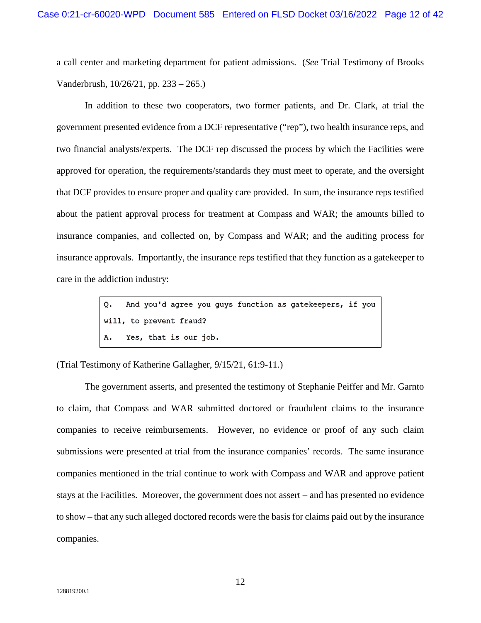a call center and marketing department for patient admissions. (*See* Trial Testimony of Brooks Vanderbrush, 10/26/21, pp. 233 – 265.)

In addition to these two cooperators, two former patients, and Dr. Clark, at trial the government presented evidence from a DCF representative ("rep"), two health insurance reps, and two financial analysts/experts. The DCF rep discussed the process by which the Facilities were approved for operation, the requirements/standards they must meet to operate, and the oversight that DCF provides to ensure proper and quality care provided. In sum, the insurance reps testified about the patient approval process for treatment at Compass and WAR; the amounts billed to insurance companies, and collected on, by Compass and WAR; and the auditing process for insurance approvals. Importantly, the insurance reps testified that they function as a gatekeeper to care in the addiction industry:

> And you'd agree you guys function as gatekeepers, if you  $\circ$ . will, to prevent fraud? Yes, that is our job. Α.

(Trial Testimony of Katherine Gallagher, 9/15/21, 61:9-11.)

The government asserts, and presented the testimony of Stephanie Peiffer and Mr. Garnto to claim, that Compass and WAR submitted doctored or fraudulent claims to the insurance companies to receive reimbursements. However, no evidence or proof of any such claim submissions were presented at trial from the insurance companies' records. The same insurance companies mentioned in the trial continue to work with Compass and WAR and approve patient stays at the Facilities. Moreover, the government does not assert – and has presented no evidence to show – that any such alleged doctored records were the basis for claims paid out by the insurance companies.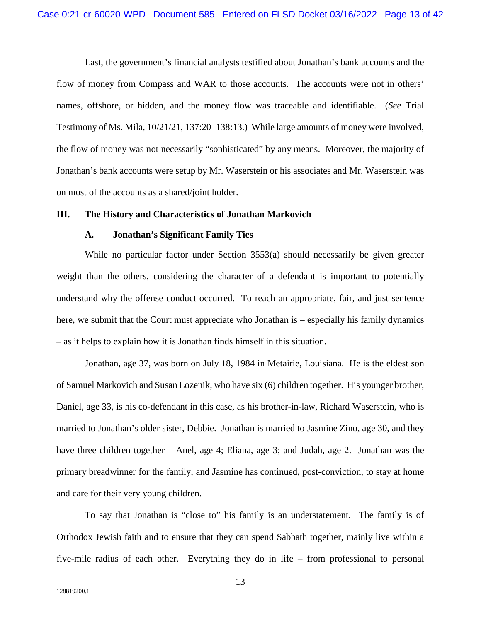Last, the government's financial analysts testified about Jonathan's bank accounts and the flow of money from Compass and WAR to those accounts. The accounts were not in others' names, offshore, or hidden, and the money flow was traceable and identifiable. (*See* Trial Testimony of Ms. Mila, 10/21/21, 137:20–138:13.) While large amounts of money were involved, the flow of money was not necessarily "sophisticated" by any means. Moreover, the majority of Jonathan's bank accounts were setup by Mr. Waserstein or his associates and Mr. Waserstein was on most of the accounts as a shared/joint holder.

#### **III. The History and Characteristics of Jonathan Markovich**

#### **A. Jonathan's Significant Family Ties**

While no particular factor under Section 3553(a) should necessarily be given greater weight than the others, considering the character of a defendant is important to potentially understand why the offense conduct occurred. To reach an appropriate, fair, and just sentence here, we submit that the Court must appreciate who Jonathan is – especially his family dynamics – as it helps to explain how it is Jonathan finds himself in this situation.

Jonathan, age 37, was born on July 18, 1984 in Metairie, Louisiana. He is the eldest son of Samuel Markovich and Susan Lozenik, who have six (6) children together. His younger brother, Daniel, age 33, is his co-defendant in this case, as his brother-in-law, Richard Waserstein, who is married to Jonathan's older sister, Debbie. Jonathan is married to Jasmine Zino, age 30, and they have three children together – Anel, age 4; Eliana, age 3; and Judah, age 2. Jonathan was the primary breadwinner for the family, and Jasmine has continued, post-conviction, to stay at home and care for their very young children.

To say that Jonathan is "close to" his family is an understatement. The family is of Orthodox Jewish faith and to ensure that they can spend Sabbath together, mainly live within a five-mile radius of each other. Everything they do in life – from professional to personal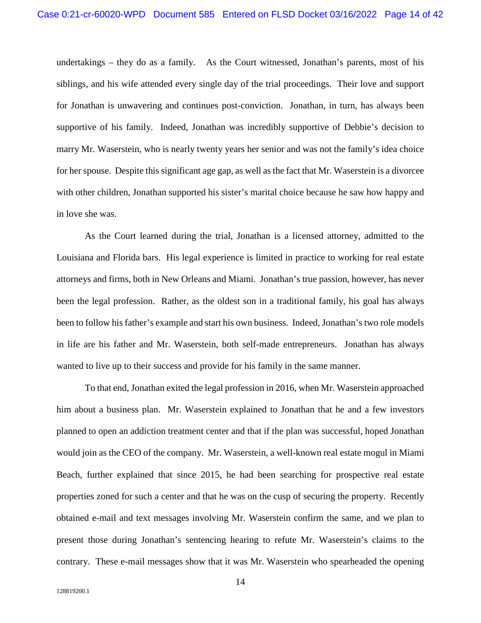undertakings – they do as a family. As the Court witnessed, Jonathan's parents, most of his siblings, and his wife attended every single day of the trial proceedings. Their love and support for Jonathan is unwavering and continues post-conviction. Jonathan, in turn, has always been supportive of his family. Indeed, Jonathan was incredibly supportive of Debbie's decision to marry Mr. Waserstein, who is nearly twenty years her senior and was not the family's idea choice for her spouse. Despite this significant age gap, as well as the fact that Mr. Waserstein is a divorcee with other children, Jonathan supported his sister's marital choice because he saw how happy and in love she was.

As the Court learned during the trial, Jonathan is a licensed attorney, admitted to the Louisiana and Florida bars. His legal experience is limited in practice to working for real estate attorneys and firms, both in New Orleans and Miami. Jonathan's true passion, however, has never been the legal profession. Rather, as the oldest son in a traditional family, his goal has always been to follow his father's example and start his own business. Indeed, Jonathan's two role models in life are his father and Mr. Waserstein, both self-made entrepreneurs. Jonathan has always wanted to live up to their success and provide for his family in the same manner.

To that end, Jonathan exited the legal profession in 2016, when Mr. Waserstein approached him about a business plan. Mr. Waserstein explained to Jonathan that he and a few investors planned to open an addiction treatment center and that if the plan was successful, hoped Jonathan would join as the CEO of the company. Mr. Waserstein, a well-known real estate mogul in Miami Beach, further explained that since 2015, he had been searching for prospective real estate properties zoned for such a center and that he was on the cusp of securing the property. Recently obtained e-mail and text messages involving Mr. Waserstein confirm the same, and we plan to present those during Jonathan's sentencing hearing to refute Mr. Waserstein's claims to the contrary. These e-mail messages show that it was Mr. Waserstein who spearheaded the opening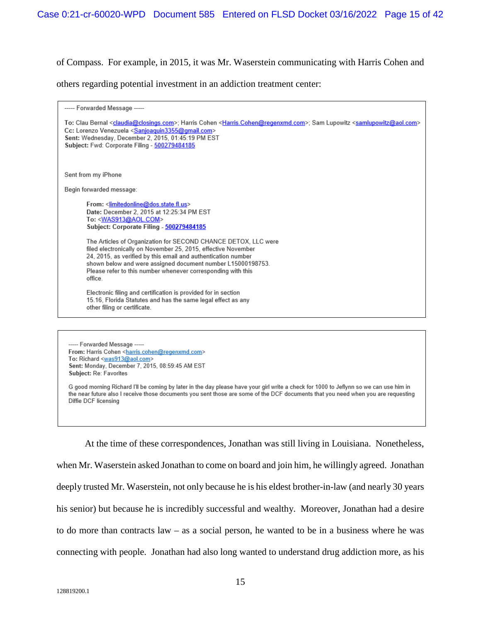of Compass. For example, in 2015, it was Mr. Waserstein communicating with Harris Cohen and

others regarding potential investment in an addiction treatment center:

| ----- Forwarded Message -----                                                                                                                                                                                                                                                                                                                                                                                                                                                                                                                                                                                                     |
|-----------------------------------------------------------------------------------------------------------------------------------------------------------------------------------------------------------------------------------------------------------------------------------------------------------------------------------------------------------------------------------------------------------------------------------------------------------------------------------------------------------------------------------------------------------------------------------------------------------------------------------|
| To: Clau Bernal <claudia@closings.com>; Harris Cohen <harris.cohen@regenxmd.com>; Sam Lupowitz <samlupowitz@aol.com><br/>Cc: Lorenzo Venezuela <sanjoaquin3355@gmail.com><br/>Sent: Wednesday, December 2, 2015, 01:45:19 PM EST<br/>Subject: Fwd: Corporate Filing - 500279484185</sanjoaquin3355@gmail.com></samlupowitz@aol.com></harris.cohen@regenxmd.com></claudia@closings.com>                                                                                                                                                                                                                                            |
| Sent from my iPhone                                                                                                                                                                                                                                                                                                                                                                                                                                                                                                                                                                                                               |
| Begin forwarded message:                                                                                                                                                                                                                                                                                                                                                                                                                                                                                                                                                                                                          |
| From: <limitedonline@dos.state.fl.us><br/>Date: December 2, 2015 at 12:25:34 PM EST<br/>To: <was913@aol.com><br/>Subject: Corporate Filing - 500279484185<br/>The Articles of Organization for SECOND CHANCE DETOX, LLC were<br/>filed electronically on November 25, 2015, effective November<br/>24, 2015, as verified by this email and authentication number<br/>shown below and were assigned document number L15000198753.<br/>Please refer to this number whenever corresponding with this<br/>office.<br/>Electronic filing and certification is provided for in section</was913@aol.com></limitedonline@dos.state.fl.us> |
| 15.16, Florida Statutes and has the same legal effect as any<br>other filing or certificate.                                                                                                                                                                                                                                                                                                                                                                                                                                                                                                                                      |
|                                                                                                                                                                                                                                                                                                                                                                                                                                                                                                                                                                                                                                   |
|                                                                                                                                                                                                                                                                                                                                                                                                                                                                                                                                                                                                                                   |

--- Forwarded Message ---From: Harris Cohen <harris.cohen@regenxmd.com> To: Richard <was913@aol.com> Sent: Monday, December 7, 2015, 08:59:45 AM EST Subject: Re: Favorites

G good morning Richard I'll be coming by later in the day please have your girl write a check for 1000 to Jeflynn so we can use him in the near future also I receive those documents you sent those are some of the DCF documents that you need when you are requesting Diffie DCF licensing

At the time of these correspondences, Jonathan was still living in Louisiana. Nonetheless, when Mr. Waserstein asked Jonathan to come on board and join him, he willingly agreed. Jonathan deeply trusted Mr. Waserstein, not only because he is his eldest brother-in-law (and nearly 30 years his senior) but because he is incredibly successful and wealthy. Moreover, Jonathan had a desire to do more than contracts law – as a social person, he wanted to be in a business where he was connecting with people. Jonathan had also long wanted to understand drug addiction more, as his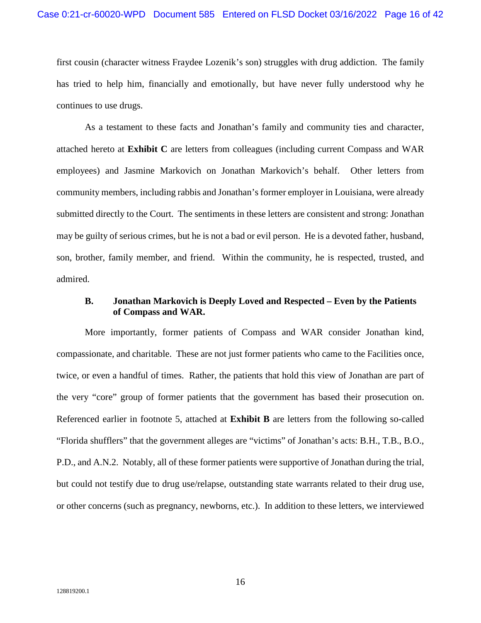first cousin (character witness Fraydee Lozenik's son) struggles with drug addiction. The family has tried to help him, financially and emotionally, but have never fully understood why he continues to use drugs.

As a testament to these facts and Jonathan's family and community ties and character, attached hereto at **Exhibit C** are letters from colleagues (including current Compass and WAR employees) and Jasmine Markovich on Jonathan Markovich's behalf. Other letters from community members, including rabbis and Jonathan's former employer in Louisiana, were already submitted directly to the Court. The sentiments in these letters are consistent and strong: Jonathan may be guilty of serious crimes, but he is not a bad or evil person. He is a devoted father, husband, son, brother, family member, and friend. Within the community, he is respected, trusted, and admired.

## **B. Jonathan Markovich is Deeply Loved and Respected – Even by the Patients of Compass and WAR.**

More importantly, former patients of Compass and WAR consider Jonathan kind, compassionate, and charitable. These are not just former patients who came to the Facilities once, twice, or even a handful of times. Rather, the patients that hold this view of Jonathan are part of the very "core" group of former patients that the government has based their prosecution on. Referenced earlier in footnote 5, attached at **Exhibit B** are letters from the following so-called "Florida shufflers" that the government alleges are "victims" of Jonathan's acts: B.H., T.B., B.O., P.D., and A.N.2. Notably, all of these former patients were supportive of Jonathan during the trial, but could not testify due to drug use/relapse, outstanding state warrants related to their drug use, or other concerns (such as pregnancy, newborns, etc.). In addition to these letters, we interviewed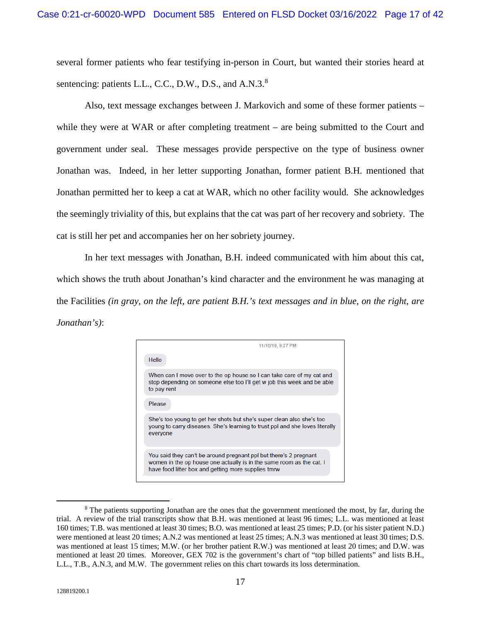several former patients who fear testifying in-person in Court, but wanted their stories heard at sentencing: patients L.L., C.C., D.W., D.S., and A.N.3.<sup>[8](#page-16-0)</sup>

Also, text message exchanges between J. Markovich and some of these former patients – while they were at WAR or after completing treatment – are being submitted to the Court and government under seal. These messages provide perspective on the type of business owner Jonathan was. Indeed, in her letter supporting Jonathan, former patient B.H. mentioned that Jonathan permitted her to keep a cat at WAR, which no other facility would. She acknowledges the seemingly triviality of this, but explains that the cat was part of her recovery and sobriety. The cat is still her pet and accompanies her on her sobriety journey.

In her text messages with Jonathan, B.H. indeed communicated with him about this cat, which shows the truth about Jonathan's kind character and the environment he was managing at the Facilities *(in gray, on the left, are patient B.H.'s text messages and in blue, on the right, are Jonathan's)*:

<span id="page-16-0"></span>

<sup>&</sup>lt;sup>8</sup> The patients supporting Jonathan are the ones that the government mentioned the most, by far, during the trial. A review of the trial transcripts show that B.H. was mentioned at least 96 times; L.L. was mentioned at least 160 times; T.B. was mentioned at least 30 times; B.O. was mentioned at least 25 times; P.D. (or his sister patient N.D.) were mentioned at least 20 times; A.N.2 was mentioned at least 25 times; A.N.3 was mentioned at least 30 times; D.S. was mentioned at least 15 times; M.W. (or her brother patient R.W.) was mentioned at least 20 times; and D.W. was mentioned at least 20 times. Moreover, GEX 702 is the government's chart of "top billed patients" and lists B.H., L.L., T.B., A.N.3, and M.W. The government relies on this chart towards its loss determination.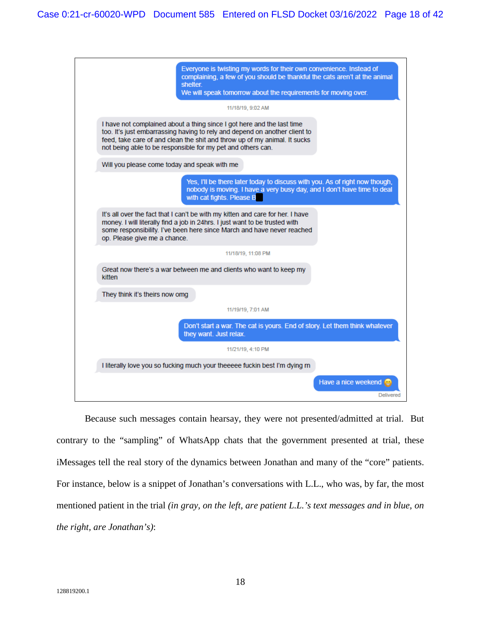| Everyone is twisting my words for their own convenience. Instead of<br>complaining, a few of you should be thankful the cats aren't at the animal<br>shelter.<br>We will speak tomorrow about the requirements for moving over.                                                                  |  |  |
|--------------------------------------------------------------------------------------------------------------------------------------------------------------------------------------------------------------------------------------------------------------------------------------------------|--|--|
| 11/18/19, 9:02 AM                                                                                                                                                                                                                                                                                |  |  |
| I have not complained about a thing since I got here and the last time<br>too. It's just embarrassing having to rely and depend on another client to<br>feed, take care of and clean the shit and throw up of my animal. It sucks<br>not being able to be responsible for my pet and others can. |  |  |
| Will you please come today and speak with me                                                                                                                                                                                                                                                     |  |  |
| Yes, I'll be there later today to discuss with you. As of right now though,<br>nobody is moving. I have a very busy day, and I don't have time to deal<br>with cat fights. Please B                                                                                                              |  |  |
| It's all over the fact that I can't be with my kitten and care for her. I have<br>money. I will literally find a job in 24hrs. I just want to be trusted with<br>some responsibility. I've been here since March and have never reached<br>op. Please give me a chance.                          |  |  |
| 11/18/19, 11:08 PM                                                                                                                                                                                                                                                                               |  |  |
| Great now there's a war between me and clients who want to keep my<br>kitten                                                                                                                                                                                                                     |  |  |
| They think it's theirs now omg                                                                                                                                                                                                                                                                   |  |  |
| 11/19/19, 7:01 AM                                                                                                                                                                                                                                                                                |  |  |
| Don't start a war. The cat is yours. End of story. Let them think whatever<br>they want. Just relax.                                                                                                                                                                                             |  |  |
| 11/21/19, 4:10 PM                                                                                                                                                                                                                                                                                |  |  |
| I literally love you so fucking much your theeeee fuckin best I'm dying m                                                                                                                                                                                                                        |  |  |
| Have a nice weekend<br><b>Delivered</b>                                                                                                                                                                                                                                                          |  |  |

Because such messages contain hearsay, they were not presented/admitted at trial. But contrary to the "sampling" of WhatsApp chats that the government presented at trial, these iMessages tell the real story of the dynamics between Jonathan and many of the "core" patients. For instance, below is a snippet of Jonathan's conversations with L.L., who was, by far, the most mentioned patient in the trial *(in gray, on the left, are patient L.L.'s text messages and in blue, on the right, are Jonathan's)*: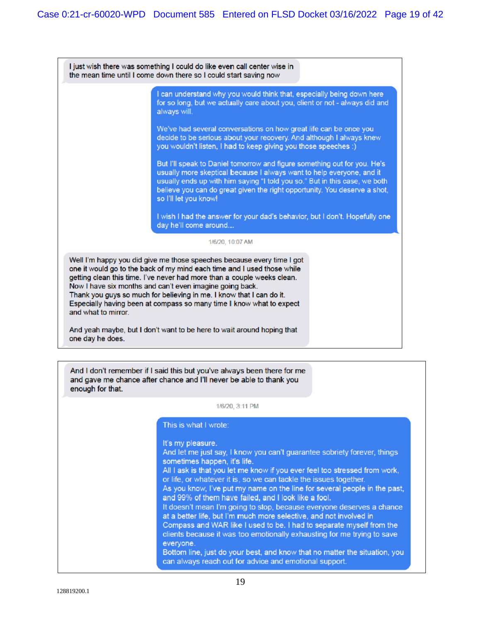I just wish there was something I could do like even call center wise in the mean time until I come down there so I could start saving now

> I can understand why you would think that, especially being down here for so long, but we actually care about you, client or not - always did and always will.

We've had several conversations on how great life can be once you decide to be serious about your recovery. And although I always knew you wouldn't listen, I had to keep giving you those speeches :)

But I'll speak to Daniel tomorrow and figure something out for you. He's usually more skeptical because I always want to help everyone, and it usually ends up with him saying "I told you so." But in this case, we both believe you can do great given the right opportunity. You deserve a shot, so I'll let you know!

I wish I had the answer for your dad's behavior, but I don't. Hopefully one day he'll come around...

#### 1/6/20, 10:07 AM

Well I'm happy you did give me those speeches because every time I got one it would go to the back of my mind each time and I used those while getting clean this time. I've never had more than a couple weeks clean. Now I have six months and can't even imagine going back. Thank you guys so much for believing in me. I know that I can do it. Especially having been at compass so many time I know what to expect and what to mirror.

And yeah maybe, but I don't want to be here to wait around hoping that one day he does.

And I don't remember if I said this but you've always been there for me and gave me chance after chance and I'll never be able to thank you enough for that.

#### 1/6/20, 3:11 PM

#### This is what I wrote:

It's my pleasure.

And let me just say, I know you can't guarantee sobriety forever, things sometimes happen, it's life. All I ask is that you let me know if you ever feel too stressed from work, or life, or whatever it is, so we can tackle the issues together. As you know, I've put my name on the line for several people in the past, and 99% of them have failed, and I look like a fool. It doesn't mean I'm going to stop, because everyone deserves a chance at a better life, but I'm much more selective, and not involved in Compass and WAR like I used to be. I had to separate myself from the clients because it was too emotionally exhausting for me trying to save everyone. Bottom line, just do your best, and know that no matter the situation, you can always reach out for advice and emotional support.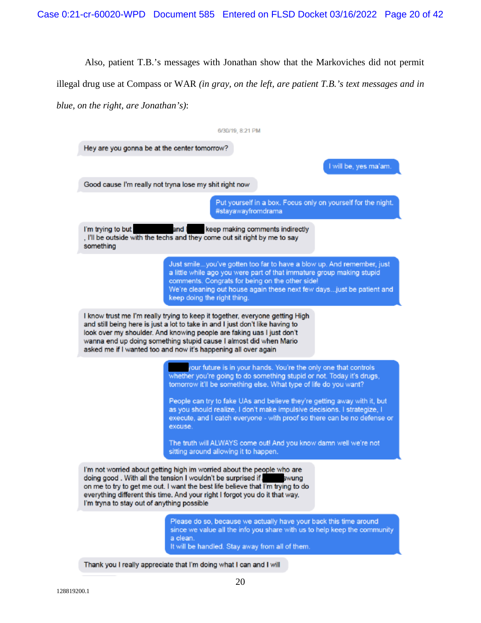Also, patient T.B.'s messages with Jonathan show that the Markoviches did not permit

illegal drug use at Compass or WAR *(in gray, on the left, are patient T.B.'s text messages and in* 

*blue, on the right, are Jonathan's)*:

| 6/30/19, 8:21 PM                                                                                                                                                                                                                                                                                                                                                                                                                                            |  |  |  |
|-------------------------------------------------------------------------------------------------------------------------------------------------------------------------------------------------------------------------------------------------------------------------------------------------------------------------------------------------------------------------------------------------------------------------------------------------------------|--|--|--|
| Hey are you gonna be at the center tomorrow?                                                                                                                                                                                                                                                                                                                                                                                                                |  |  |  |
| I will be, yes ma'am.                                                                                                                                                                                                                                                                                                                                                                                                                                       |  |  |  |
| Good cause I'm really not tryna lose my shit right now                                                                                                                                                                                                                                                                                                                                                                                                      |  |  |  |
| Put yourself in a box. Focus only on yourself for the night.<br>#stayawayfromdrama                                                                                                                                                                                                                                                                                                                                                                          |  |  |  |
| I'm trying to but<br>keep making comments indirectly<br>and I<br>. I'll be outside with the techs and they come out sit right by me to say<br>something                                                                                                                                                                                                                                                                                                     |  |  |  |
| Just smileyou've gotten too far to have a blow up. And remember, just<br>a little while ago you were part of that immature group making stupid<br>comments. Congrats for being on the other side!<br>We're cleaning out house again these next few daysjust be patient and<br>keep doing the right thing.                                                                                                                                                   |  |  |  |
| I know trust me I'm really trying to keep it together, everyone getting High<br>and still being here is just a lot to take in and I just don't like having to<br>look over my shoulder. And knowing people are faking uas I just don't<br>wanna end up doing something stupid cause I almost did when Mario<br>asked me if I wanted too and now it's happening all over again                                                                               |  |  |  |
| your future is in your hands. You're the only one that controls<br>whether you're going to do something stupid or not. Today it's drugs,<br>tomorrow it'll be something else. What type of life do you want?<br>People can try to fake UAs and believe they're getting away with it, but<br>as you should realize, I don't make impulsive decisions. I strategize, I<br>execute, and I catch everyone - with proof so there can be no defense or<br>excuse. |  |  |  |
| The truth will ALWAYS come out! And you know damn well we're not<br>sitting around allowing it to happen.                                                                                                                                                                                                                                                                                                                                                   |  |  |  |
| I'm not worried about getting high im worried about the people who are<br>doing good. With all the tension I wouldn't be surprised if.<br>swung<br>on me to try to get me out. I want the best life believe that I'm trying to do<br>everything different this time. And your right I forgot you do it that way.<br>I'm tryna to stay out of anything possible                                                                                              |  |  |  |
| Please do so, because we actually have your back this time around<br>since we value all the info you share with us to help keep the community<br>a clean.<br>It will be handled. Stay away from all of them.                                                                                                                                                                                                                                                |  |  |  |

Thank you I really appreciate that I'm doing what I can and I will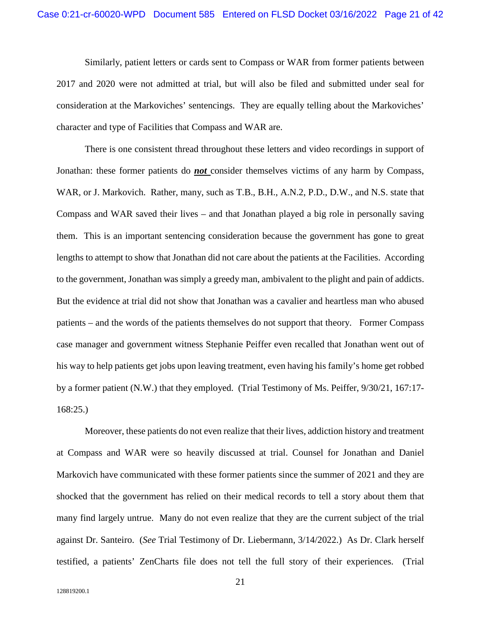Similarly, patient letters or cards sent to Compass or WAR from former patients between 2017 and 2020 were not admitted at trial, but will also be filed and submitted under seal for consideration at the Markoviches' sentencings. They are equally telling about the Markoviches' character and type of Facilities that Compass and WAR are.

There is one consistent thread throughout these letters and video recordings in support of Jonathan: these former patients do *not* consider themselves victims of any harm by Compass, WAR, or J. Markovich. Rather, many, such as T.B., B.H., A.N.2, P.D., D.W., and N.S. state that Compass and WAR saved their lives – and that Jonathan played a big role in personally saving them. This is an important sentencing consideration because the government has gone to great lengths to attempt to show that Jonathan did not care about the patients at the Facilities. According to the government, Jonathan was simply a greedy man, ambivalent to the plight and pain of addicts. But the evidence at trial did not show that Jonathan was a cavalier and heartless man who abused patients – and the words of the patients themselves do not support that theory. Former Compass case manager and government witness Stephanie Peiffer even recalled that Jonathan went out of his way to help patients get jobs upon leaving treatment, even having his family's home get robbed by a former patient (N.W.) that they employed. (Trial Testimony of Ms. Peiffer, 9/30/21, 167:17- 168:25.)

Moreover, these patients do not even realize that their lives, addiction history and treatment at Compass and WAR were so heavily discussed at trial. Counsel for Jonathan and Daniel Markovich have communicated with these former patients since the summer of 2021 and they are shocked that the government has relied on their medical records to tell a story about them that many find largely untrue. Many do not even realize that they are the current subject of the trial against Dr. Santeiro. (*See* Trial Testimony of Dr. Liebermann, 3/14/2022.) As Dr. Clark herself testified, a patients' ZenCharts file does not tell the full story of their experiences. (Trial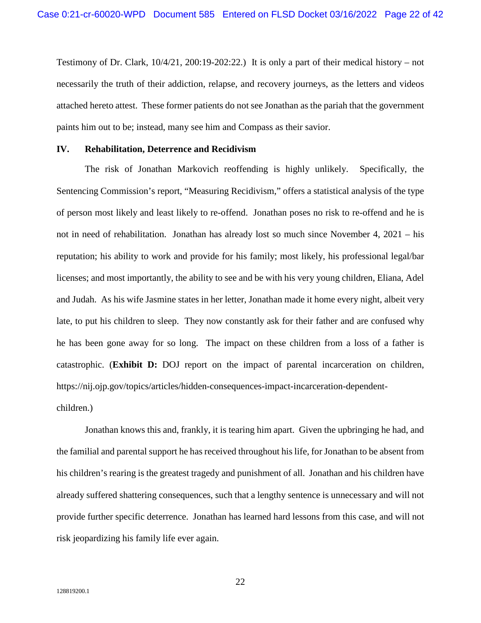Testimony of Dr. Clark,  $10/4/21$ ,  $200:19-202:22$ .) It is only a part of their medical history – not necessarily the truth of their addiction, relapse, and recovery journeys, as the letters and videos attached hereto attest. These former patients do not see Jonathan as the pariah that the government paints him out to be; instead, many see him and Compass as their savior.

#### **IV. Rehabilitation, Deterrence and Recidivism**

The risk of Jonathan Markovich reoffending is highly unlikely. Specifically, the Sentencing Commission's report, "Measuring Recidivism," offers a statistical analysis of the type of person most likely and least likely to re-offend. Jonathan poses no risk to re-offend and he is not in need of rehabilitation. Jonathan has already lost so much since November 4, 2021 – his reputation; his ability to work and provide for his family; most likely, his professional legal/bar licenses; and most importantly, the ability to see and be with his very young children, Eliana, Adel and Judah. As his wife Jasmine states in her letter, Jonathan made it home every night, albeit very late, to put his children to sleep. They now constantly ask for their father and are confused why he has been gone away for so long. The impact on these children from a loss of a father is catastrophic. (**Exhibit D:** DOJ report on the impact of parental incarceration on children, https://nij.ojp.gov/topics/articles/hidden-consequences-impact-incarceration-dependentchildren.)

Jonathan knows this and, frankly, it is tearing him apart. Given the upbringing he had, and the familial and parental support he has received throughout his life, for Jonathan to be absent from his children's rearing is the greatest tragedy and punishment of all. Jonathan and his children have already suffered shattering consequences, such that a lengthy sentence is unnecessary and will not provide further specific deterrence. Jonathan has learned hard lessons from this case, and will not risk jeopardizing his family life ever again.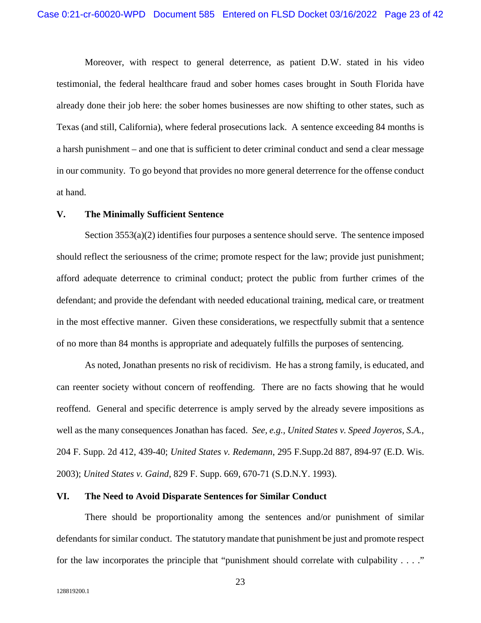Moreover, with respect to general deterrence, as patient D.W. stated in his video testimonial, the federal healthcare fraud and sober homes cases brought in South Florida have already done their job here: the sober homes businesses are now shifting to other states, such as Texas (and still, California), where federal prosecutions lack. A sentence exceeding 84 months is a harsh punishment – and one that is sufficient to deter criminal conduct and send a clear message in our community. To go beyond that provides no more general deterrence for the offense conduct at hand.

#### **V. The Minimally Sufficient Sentence**

Section 3553(a)(2) identifies four purposes a sentence should serve. The sentence imposed should reflect the seriousness of the crime; promote respect for the law; provide just punishment; afford adequate deterrence to criminal conduct; protect the public from further crimes of the defendant; and provide the defendant with needed educational training, medical care, or treatment in the most effective manner. Given these considerations, we respectfully submit that a sentence of no more than 84 months is appropriate and adequately fulfills the purposes of sentencing.

As noted, Jonathan presents no risk of recidivism. He has a strong family, is educated, and can reenter society without concern of reoffending. There are no facts showing that he would reoffend. General and specific deterrence is amply served by the already severe impositions as well as the many consequences Jonathan has faced. *See, e.g., United States v. Speed Joyeros, S.A.*, 204 F. Supp. 2d 412, 439-40; *United States v. Redemann*, 295 F.Supp.2d 887, 894-97 (E.D. Wis. 2003); *United States v. Gaind*, 829 F. Supp. 669, 670-71 (S.D.N.Y. 1993).

#### **VI. The Need to Avoid Disparate Sentences for Similar Conduct**

There should be proportionality among the sentences and/or punishment of similar defendants for similar conduct. The statutory mandate that punishment be just and promote respect for the law incorporates the principle that "punishment should correlate with culpability . . . ."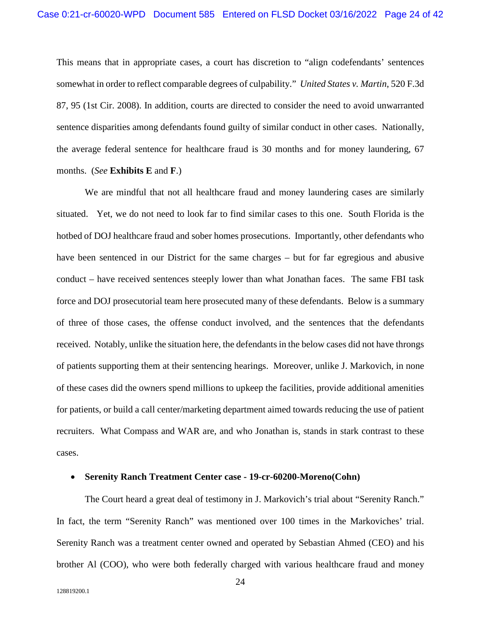This means that in appropriate cases, a court has discretion to "align codefendants' sentences somewhat in order to reflect comparable degrees of culpability." *United States v. Martin*, 520 F.3d 87, 95 (1st Cir. 2008). In addition, courts are directed to consider the need to avoid unwarranted sentence disparities among defendants found guilty of similar conduct in other cases. Nationally, the average federal sentence for healthcare fraud is 30 months and for money laundering, 67 months. (*See* **Exhibits E** and **F**.)

We are mindful that not all healthcare fraud and money laundering cases are similarly situated. Yet, we do not need to look far to find similar cases to this one. South Florida is the hotbed of DOJ healthcare fraud and sober homes prosecutions. Importantly, other defendants who have been sentenced in our District for the same charges – but for far egregious and abusive conduct – have received sentences steeply lower than what Jonathan faces. The same FBI task force and DOJ prosecutorial team here prosecuted many of these defendants. Below is a summary of three of those cases, the offense conduct involved, and the sentences that the defendants received. Notably, unlike the situation here, the defendants in the below cases did not have throngs of patients supporting them at their sentencing hearings. Moreover, unlike J. Markovich, in none of these cases did the owners spend millions to upkeep the facilities, provide additional amenities for patients, or build a call center/marketing department aimed towards reducing the use of patient recruiters. What Compass and WAR are, and who Jonathan is, stands in stark contrast to these cases.

#### • **Serenity Ranch Treatment Center case - 19-cr-60200-Moreno(Cohn)**

The Court heard a great deal of testimony in J. Markovich's trial about "Serenity Ranch." In fact, the term "Serenity Ranch" was mentioned over 100 times in the Markoviches' trial. Serenity Ranch was a treatment center owned and operated by Sebastian Ahmed (CEO) and his brother Al (COO), who were both federally charged with various healthcare fraud and money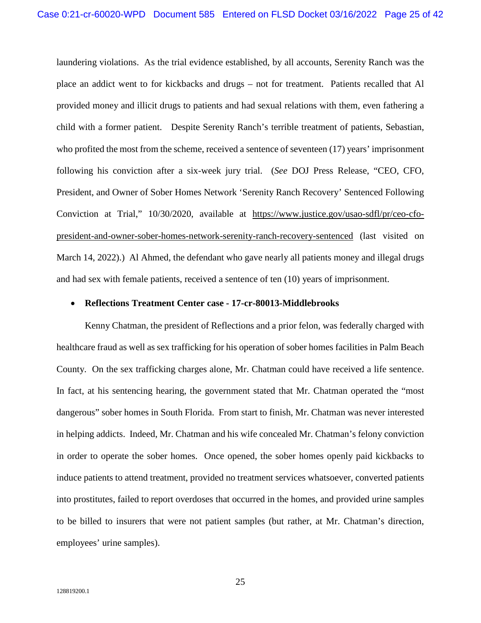laundering violations. As the trial evidence established, by all accounts, Serenity Ranch was the place an addict went to for kickbacks and drugs – not for treatment. Patients recalled that Al provided money and illicit drugs to patients and had sexual relations with them, even fathering a child with a former patient. Despite Serenity Ranch's terrible treatment of patients, Sebastian, who profited the most from the scheme, received a sentence of seventeen (17) years' imprisonment following his conviction after a six-week jury trial. (*See* DOJ Press Release, "CEO, CFO, President, and Owner of Sober Homes Network 'Serenity Ranch Recovery' Sentenced Following Conviction at Trial," 10/30/2020, available at https://www.justice.gov/usao-sdfl/pr/ceo-cfopresident-and-owner-sober-homes-network-serenity-ranch-recovery-sentenced (last visited on March 14, 2022).) Al Ahmed, the defendant who gave nearly all patients money and illegal drugs and had sex with female patients, received a sentence of ten (10) years of imprisonment.

#### • **Reflections Treatment Center case - 17-cr-80013-Middlebrooks**

Kenny Chatman, the president of Reflections and a prior felon, was federally charged with healthcare fraud as well as sex trafficking for his operation of sober homes facilities in Palm Beach County. On the sex trafficking charges alone, Mr. Chatman could have received a life sentence. In fact, at his sentencing hearing, the government stated that Mr. Chatman operated the "most dangerous" sober homes in South Florida. From start to finish, Mr. Chatman was never interested in helping addicts. Indeed, Mr. Chatman and his wife concealed Mr. Chatman's felony conviction in order to operate the sober homes. Once opened, the sober homes openly paid kickbacks to induce patients to attend treatment, provided no treatment services whatsoever, converted patients into prostitutes, failed to report overdoses that occurred in the homes, and provided urine samples to be billed to insurers that were not patient samples (but rather, at Mr. Chatman's direction, employees' urine samples).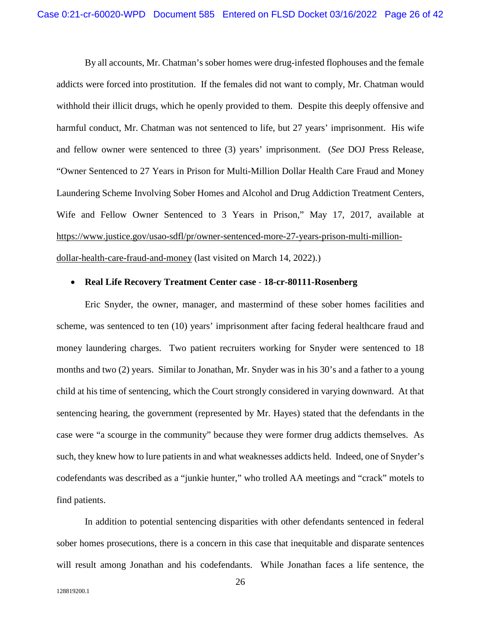By all accounts, Mr. Chatman's sober homes were drug-infested flophouses and the female addicts were forced into prostitution. If the females did not want to comply, Mr. Chatman would withhold their illicit drugs, which he openly provided to them. Despite this deeply offensive and harmful conduct, Mr. Chatman was not sentenced to life, but 27 years' imprisonment. His wife and fellow owner were sentenced to three (3) years' imprisonment. (*See* DOJ Press Release, "Owner Sentenced to 27 Years in Prison for Multi-Million Dollar Health Care Fraud and Money Laundering Scheme Involving Sober Homes and Alcohol and Drug Addiction Treatment Centers, Wife and Fellow Owner Sentenced to 3 Years in Prison," May 17, 2017, available at https://www.justice.gov/usao-sdfl/pr/owner-sentenced-more-27-years-prison-multi-milliondollar-health-care-fraud-and-money (last visited on March 14, 2022).)

# • **Real Life Recovery Treatment Center case** - **18-cr-80111-Rosenberg**

Eric Snyder, the owner, manager, and mastermind of these sober homes facilities and scheme, was sentenced to ten (10) years' imprisonment after facing federal healthcare fraud and money laundering charges. Two patient recruiters working for Snyder were sentenced to 18 months and two (2) years. Similar to Jonathan, Mr. Snyder was in his 30's and a father to a young child at his time of sentencing, which the Court strongly considered in varying downward. At that sentencing hearing, the government (represented by Mr. Hayes) stated that the defendants in the case were "a scourge in the community" because they were former drug addicts themselves. As such, they knew how to lure patients in and what weaknesses addicts held. Indeed, one of Snyder's codefendants was described as a "junkie hunter," who trolled AA meetings and "crack" motels to find patients.

In addition to potential sentencing disparities with other defendants sentenced in federal sober homes prosecutions, there is a concern in this case that inequitable and disparate sentences will result among Jonathan and his codefendants. While Jonathan faces a life sentence, the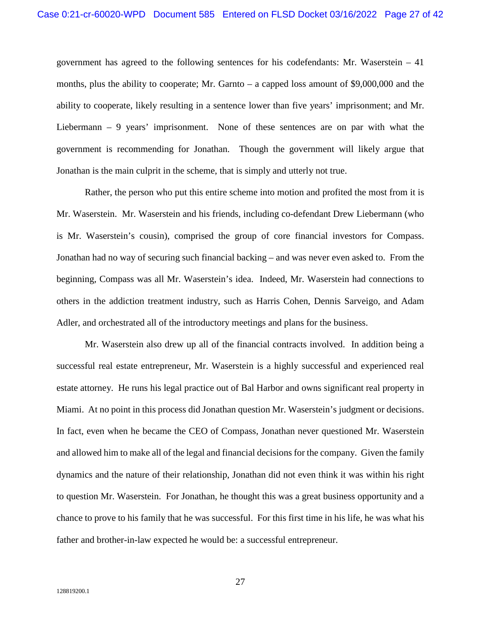government has agreed to the following sentences for his codefendants: Mr. Waserstein – 41 months, plus the ability to cooperate; Mr. Garnto – a capped loss amount of \$9,000,000 and the ability to cooperate, likely resulting in a sentence lower than five years' imprisonment; and Mr. Liebermann – 9 years' imprisonment. None of these sentences are on par with what the government is recommending for Jonathan. Though the government will likely argue that Jonathan is the main culprit in the scheme, that is simply and utterly not true.

Rather, the person who put this entire scheme into motion and profited the most from it is Mr. Waserstein. Mr. Waserstein and his friends, including co-defendant Drew Liebermann (who is Mr. Waserstein's cousin), comprised the group of core financial investors for Compass. Jonathan had no way of securing such financial backing – and was never even asked to. From the beginning, Compass was all Mr. Waserstein's idea. Indeed, Mr. Waserstein had connections to others in the addiction treatment industry, such as Harris Cohen, Dennis Sarveigo, and Adam Adler, and orchestrated all of the introductory meetings and plans for the business.

Mr. Waserstein also drew up all of the financial contracts involved. In addition being a successful real estate entrepreneur, Mr. Waserstein is a highly successful and experienced real estate attorney. He runs his legal practice out of Bal Harbor and owns significant real property in Miami. At no point in this process did Jonathan question Mr. Waserstein's judgment or decisions. In fact, even when he became the CEO of Compass, Jonathan never questioned Mr. Waserstein and allowed him to make all of the legal and financial decisions for the company. Given the family dynamics and the nature of their relationship, Jonathan did not even think it was within his right to question Mr. Waserstein. For Jonathan, he thought this was a great business opportunity and a chance to prove to his family that he was successful. For this first time in his life, he was what his father and brother-in-law expected he would be: a successful entrepreneur.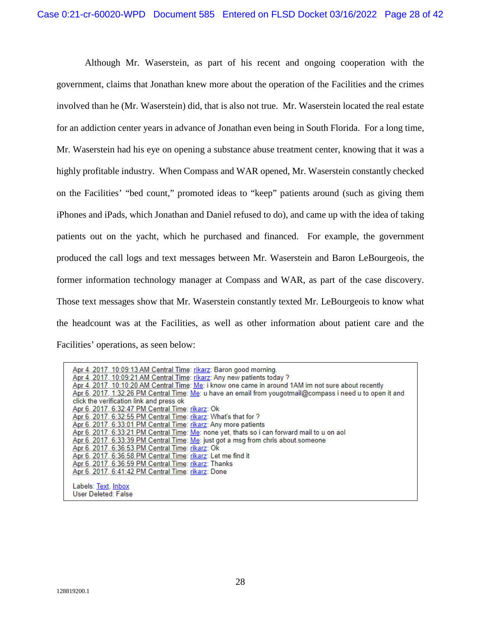Although Mr. Waserstein, as part of his recent and ongoing cooperation with the government, claims that Jonathan knew more about the operation of the Facilities and the crimes involved than he (Mr. Waserstein) did, that is also not true. Mr. Waserstein located the real estate for an addiction center years in advance of Jonathan even being in South Florida. For a long time, Mr. Waserstein had his eye on opening a substance abuse treatment center, knowing that it was a highly profitable industry. When Compass and WAR opened, Mr. Waserstein constantly checked on the Facilities' "bed count," promoted ideas to "keep" patients around (such as giving them iPhones and iPads, which Jonathan and Daniel refused to do), and came up with the idea of taking patients out on the yacht, which he purchased and financed. For example, the government produced the call logs and text messages between Mr. Waserstein and Baron LeBourgeois, the former information technology manager at Compass and WAR, as part of the case discovery. Those text messages show that Mr. Waserstein constantly texted Mr. LeBourgeois to know what the headcount was at the Facilities, as well as other information about patient care and the Facilities' operations, as seen below:

Apr <u>4, 2017, 10:09:13 AM Central Time: rikarz</u>: Baron good morning.<br><u>Apr 4, 2017, 10:09:21 AM Central Time: rikarz</u>: Any new patients today ?<br><u>Apr 4, 2017, 10:10:20 AM Central Time: Me</u>: i know one came in around 1AM im n Apr 6, 2017, 1:32:26 PM Central Time: Me: u have an email from yougotmail@compass i need u to open it and click the verification link and press ok Apr 6, 2017, 6:32:47 PM Central Time: rikarz: Ok Apr 6, 2017, 6:32:55 PM Central Time: rikarz: What's that for ? Apr 6, 2017, 6:33:01 PM Central Time: rikarz: Any more patients Apr 6, 2017, 6:33:21 PM Central Time: Me: none yet, thats so i can forward mail to u on aol Apr 6, 2017, 6:33:39 PM Central Time: Me: just got a msg from chris about someone<br>Apr 6, 2017, 6:36:53 PM Central Time: rikarz: Ok<br>Apr 6, 2017, 6:36:58 PM Central Time: rikarz: Let me find it Apr 6, 2017, 6:36:59 PM Central Time: rikarz: Thanks Apr 6, 2017, 6:41:42 PM Central Time: rikarz: Done Labels: Text, Inbox User Deleted: False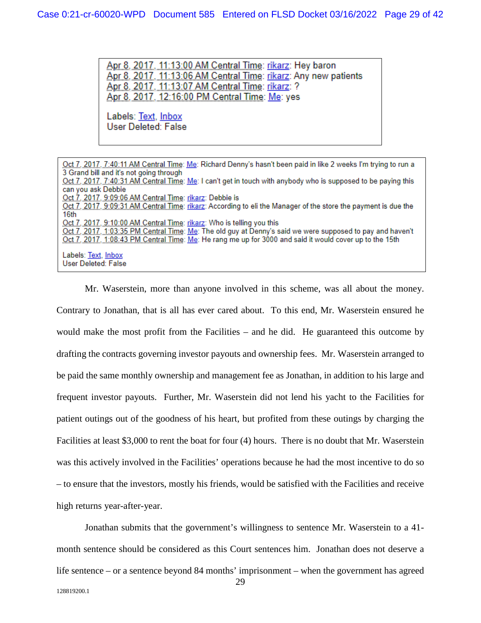<u> Apr 8, 2017, 11:13:00 AM Central Time: rikarz</u>: Hey baron Apr 8, 2017, 11:13:06 AM Central Time: rikarz: Any new patients Apr 8, 2017, 11:13:07 AM Central Time: rikarz: ? Apr 8, 2017, 12:16:00 PM Central Time: Me: yes

Labels: <u>Text, Inbox</u> User Deleted: False

Oct 7, 2017, 7:40:11 AM Central Time: Me: Richard Denny's hasn't been paid in like 2 weeks I'm trying to run a 3 Grand bill and it's not going through Oct 7, 2017, 7:40:31 AM Central Time: Me: I can't get in touch with anybody who is supposed to be paying this can you ask Debbie Oct 7, 2017, 9:09:06 AM Central Time: rikarz: Debbie is Oct 7, 2017, 9:09:31 AM Central Time: rikarz: According to eli the Manager of the store the payment is due the 16th Oct 7, 2017, 9:10:00 AM Central Time: rikarz: Who is telling you this Oct 7, 2017, 1:03:35 PM Central Time: Me: The old guy at Denny's said we were supposed to pay and haven't Oct 7, 2017, 1:08:43 PM Central Time: Me: He rang me up for 3000 and said it would cover up to the 15th Labels: Text, Inbox User Deleted: False

Mr. Waserstein, more than anyone involved in this scheme, was all about the money. Contrary to Jonathan, that is all has ever cared about. To this end, Mr. Waserstein ensured he would make the most profit from the Facilities – and he did. He guaranteed this outcome by drafting the contracts governing investor payouts and ownership fees. Mr. Waserstein arranged to be paid the same monthly ownership and management fee as Jonathan, in addition to his large and frequent investor payouts. Further, Mr. Waserstein did not lend his yacht to the Facilities for patient outings out of the goodness of his heart, but profited from these outings by charging the Facilities at least \$3,000 to rent the boat for four (4) hours. There is no doubt that Mr. Waserstein was this actively involved in the Facilities' operations because he had the most incentive to do so – to ensure that the investors, mostly his friends, would be satisfied with the Facilities and receive high returns year-after-year.

Jonathan submits that the government's willingness to sentence Mr. Waserstein to a 41 month sentence should be considered as this Court sentences him. Jonathan does not deserve a life sentence – or a sentence beyond 84 months' imprisonment – when the government has agreed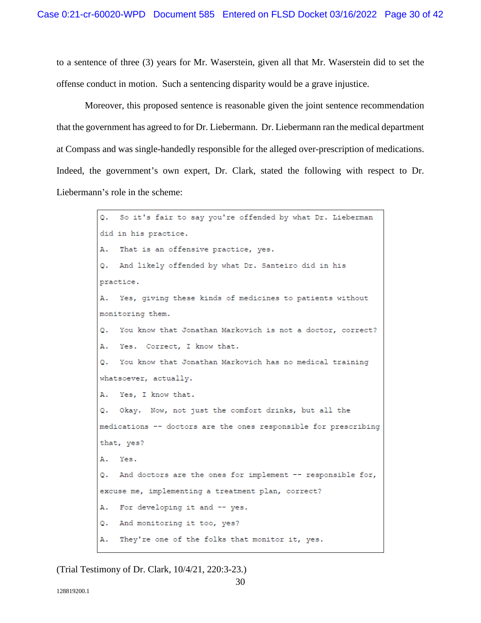to a sentence of three (3) years for Mr. Waserstein, given all that Mr. Waserstein did to set the offense conduct in motion. Such a sentencing disparity would be a grave injustice.

Moreover, this proposed sentence is reasonable given the joint sentence recommendation that the government has agreed to for Dr. Liebermann. Dr. Liebermann ran the medical department at Compass and was single-handedly responsible for the alleged over-prescription of medications. Indeed, the government's own expert, Dr. Clark, stated the following with respect to Dr. Liebermann's role in the scheme:

> So it's fair to say you're offended by what Dr. Lieberman  $\circ$ . did in his practice. Α. That is an offensive practice, yes. And likely offended by what Dr. Santeiro did in his  $\circ$ . practice. Yes, giving these kinds of medicines to patients without Ά. monitoring them. You know that Jonathan Markovich is not a doctor, correct? о. A. Yes. Correct, I know that.  $Q_{\star}$ You know that Jonathan Markovich has no medical training whatsoever, actually. Α. Yes, I know that. Q. Okay. Now, not just the comfort drinks, but all the medications -- doctors are the ones responsible for prescribing that, yes? A. Yes. And doctors are the ones for implement -- responsible for, Q. excuse me, implementing a treatment plan, correct? For developing it and -- yes. А. And monitoring it too, yes? Q. They're one of the folks that monitor it, yes. Α.

(Trial Testimony of Dr. Clark, 10/4/21, 220:3-23.)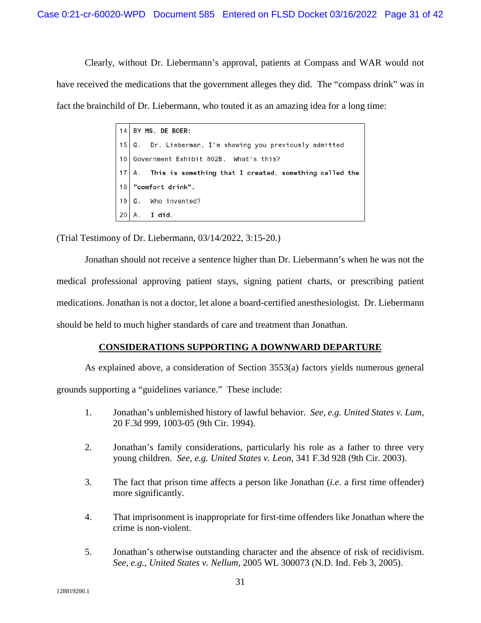Clearly, without Dr. Liebermann's approval, patients at Compass and WAR would not have received the medications that the government alleges they did. The "compass drink" was in fact the brainchild of Dr. Liebermann, who touted it as an amazing idea for a long time:

|    | $14$ BY MS. DE BOER:                                             |  |
|----|------------------------------------------------------------------|--|
|    | 15 Q. Dr. Lieberman, I'm showing you previously admitted         |  |
|    | 16   Government Exhibit 802B. What's this?                       |  |
|    | $ 17 $ A. This is something that I created, something called the |  |
| 18 | "comfort drink".                                                 |  |
|    | $19 \mid Q$ . Who invented?                                      |  |
| 20 | А.<br>I did.                                                     |  |

(Trial Testimony of Dr. Liebermann, 03/14/2022, 3:15-20.)

Jonathan should not receive a sentence higher than Dr. Liebermann's when he was not the medical professional approving patient stays, signing patient charts, or prescribing patient medications. Jonathan is not a doctor, let alone a board-certified anesthesiologist. Dr. Liebermann should be held to much higher standards of care and treatment than Jonathan.

## **CONSIDERATIONS SUPPORTING A DOWNWARD DEPARTURE**

As explained above, a consideration of Section 3553(a) factors yields numerous general grounds supporting a "guidelines variance." These include:

- 1. Jonathan's unblemished history of lawful behavior. *See, e.g. United States v. Lam*, 20 F.3d 999, 1003-05 (9th Cir. 1994).
- 2. Jonathan's family considerations, particularly his role as a father to three very young children. *See, e.g. United States v. Leon*, 341 F.3d 928 (9th Cir. 2003).
- 3. The fact that prison time affects a person like Jonathan (*i.e*. a first time offender) more significantly.
- 4. That imprisonment is inappropriate for first-time offenders like Jonathan where the crime is non-violent.
- 5. Jonathan's otherwise outstanding character and the absence of risk of recidivism. *See, e.g., United States v. Nellum*, 2005 WL 300073 (N.D. Ind. Feb 3, 2005).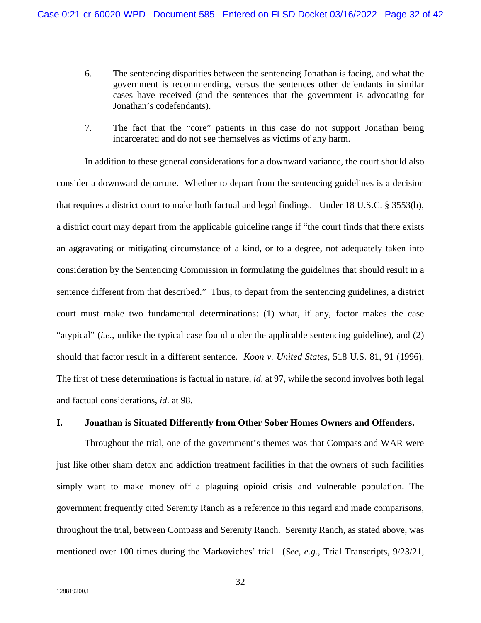- 6. The sentencing disparities between the sentencing Jonathan is facing, and what the government is recommending, versus the sentences other defendants in similar cases have received (and the sentences that the government is advocating for Jonathan's codefendants).
- 7. The fact that the "core" patients in this case do not support Jonathan being incarcerated and do not see themselves as victims of any harm.

In addition to these general considerations for a downward variance, the court should also consider a downward departure. Whether to depart from the sentencing guidelines is a decision that requires a district court to make both factual and legal findings. Under 18 U.S.C. § 3553(b), a district court may depart from the applicable guideline range if "the court finds that there exists an aggravating or mitigating circumstance of a kind, or to a degree, not adequately taken into consideration by the Sentencing Commission in formulating the guidelines that should result in a sentence different from that described." Thus, to depart from the sentencing guidelines, a district court must make two fundamental determinations: (1) what, if any, factor makes the case "atypical" (*i.e.*, unlike the typical case found under the applicable sentencing guideline), and (2) should that factor result in a different sentence. *Koon v. United States*, 518 U.S. 81, 91 (1996). The first of these determinations is factual in nature, *id*. at 97, while the second involves both legal and factual considerations, *id*. at 98.

#### **I. Jonathan is Situated Differently from Other Sober Homes Owners and Offenders.**

Throughout the trial, one of the government's themes was that Compass and WAR were just like other sham detox and addiction treatment facilities in that the owners of such facilities simply want to make money off a plaguing opioid crisis and vulnerable population. The government frequently cited Serenity Ranch as a reference in this regard and made comparisons, throughout the trial, between Compass and Serenity Ranch. Serenity Ranch, as stated above, was mentioned over 100 times during the Markoviches' trial. (*See, e.g.,* Trial Transcripts, 9/23/21,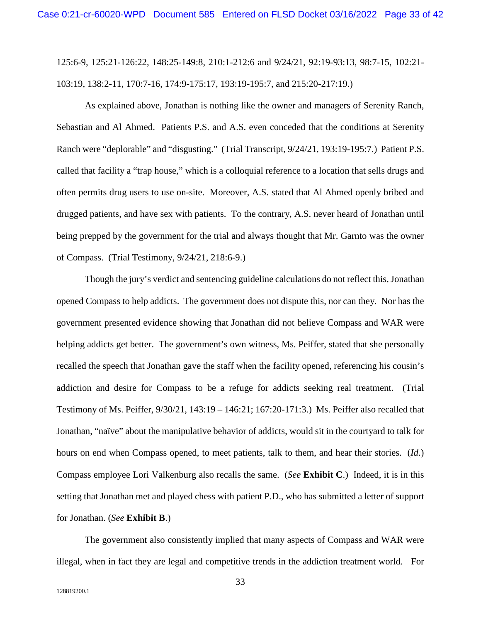125:6-9, 125:21-126:22, 148:25-149:8, 210:1-212:6 and 9/24/21, 92:19-93:13, 98:7-15, 102:21- 103:19, 138:2-11, 170:7-16, 174:9-175:17, 193:19-195:7, and 215:20-217:19.)

As explained above, Jonathan is nothing like the owner and managers of Serenity Ranch, Sebastian and Al Ahmed. Patients P.S. and A.S. even conceded that the conditions at Serenity Ranch were "deplorable" and "disgusting." (Trial Transcript, 9/24/21, 193:19-195:7.) Patient P.S. called that facility a "trap house," which is a colloquial reference to a location that sells drugs and often permits drug users to use on-site. Moreover, A.S. stated that Al Ahmed openly bribed and drugged patients, and have sex with patients. To the contrary, A.S. never heard of Jonathan until being prepped by the government for the trial and always thought that Mr. Garnto was the owner of Compass. (Trial Testimony, 9/24/21, 218:6-9.)

Though the jury's verdict and sentencing guideline calculations do not reflect this, Jonathan opened Compass to help addicts. The government does not dispute this, nor can they. Nor has the government presented evidence showing that Jonathan did not believe Compass and WAR were helping addicts get better. The government's own witness, Ms. Peiffer, stated that she personally recalled the speech that Jonathan gave the staff when the facility opened, referencing his cousin's addiction and desire for Compass to be a refuge for addicts seeking real treatment. (Trial Testimony of Ms. Peiffer, 9/30/21, 143:19 – 146:21; 167:20-171:3.) Ms. Peiffer also recalled that Jonathan, "naïve" about the manipulative behavior of addicts, would sit in the courtyard to talk for hours on end when Compass opened, to meet patients, talk to them, and hear their stories. (*Id*.) Compass employee Lori Valkenburg also recalls the same. (*See* **Exhibit C**.) Indeed, it is in this setting that Jonathan met and played chess with patient P.D., who has submitted a letter of support for Jonathan. (*See* **Exhibit B**.)

The government also consistently implied that many aspects of Compass and WAR were illegal, when in fact they are legal and competitive trends in the addiction treatment world. For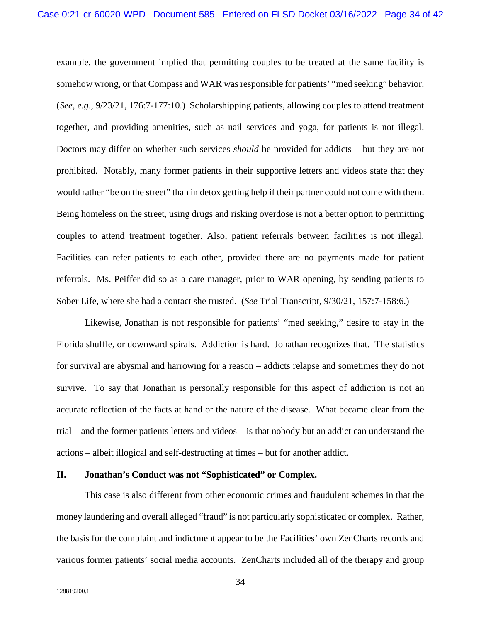example, the government implied that permitting couples to be treated at the same facility is somehow wrong, or that Compass and WAR was responsible for patients' "med seeking" behavior. (*See, e.g*., 9/23/21, 176:7-177:10.) Scholarshipping patients, allowing couples to attend treatment together, and providing amenities, such as nail services and yoga, for patients is not illegal. Doctors may differ on whether such services *should* be provided for addicts – but they are not prohibited. Notably, many former patients in their supportive letters and videos state that they would rather "be on the street" than in detox getting help if their partner could not come with them. Being homeless on the street, using drugs and risking overdose is not a better option to permitting couples to attend treatment together. Also, patient referrals between facilities is not illegal. Facilities can refer patients to each other, provided there are no payments made for patient referrals. Ms. Peiffer did so as a care manager, prior to WAR opening, by sending patients to Sober Life, where she had a contact she trusted. (*See* Trial Transcript, 9/30/21, 157:7-158:6.)

Likewise, Jonathan is not responsible for patients' "med seeking," desire to stay in the Florida shuffle, or downward spirals. Addiction is hard. Jonathan recognizes that. The statistics for survival are abysmal and harrowing for a reason – addicts relapse and sometimes they do not survive. To say that Jonathan is personally responsible for this aspect of addiction is not an accurate reflection of the facts at hand or the nature of the disease. What became clear from the trial – and the former patients letters and videos – is that nobody but an addict can understand the actions – albeit illogical and self-destructing at times – but for another addict.

#### **II. Jonathan's Conduct was not "Sophisticated" or Complex.**

This case is also different from other economic crimes and fraudulent schemes in that the money laundering and overall alleged "fraud" is not particularly sophisticated or complex. Rather, the basis for the complaint and indictment appear to be the Facilities' own ZenCharts records and various former patients' social media accounts. ZenCharts included all of the therapy and group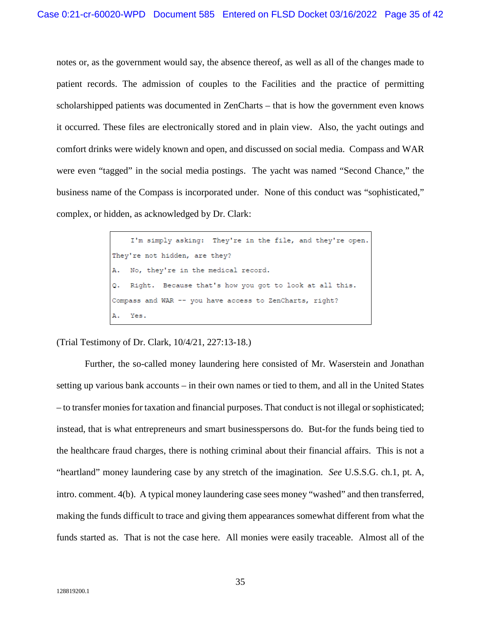notes or, as the government would say, the absence thereof, as well as all of the changes made to patient records. The admission of couples to the Facilities and the practice of permitting scholarshipped patients was documented in ZenCharts – that is how the government even knows it occurred. These files are electronically stored and in plain view. Also, the yacht outings and comfort drinks were widely known and open, and discussed on social media. Compass and WAR were even "tagged" in the social media postings. The yacht was named "Second Chance," the business name of the Compass is incorporated under. None of this conduct was "sophisticated," complex, or hidden, as acknowledged by Dr. Clark:

> I'm simply asking: They're in the file, and they're open. They're not hidden, are they? No, they're in the medical record. Α. Q. Right. Because that's how you got to look at all this. Compass and WAR -- you have access to ZenCharts, right? Yes.

(Trial Testimony of Dr. Clark, 10/4/21, 227:13-18.)

Further, the so-called money laundering here consisted of Mr. Waserstein and Jonathan setting up various bank accounts – in their own names or tied to them, and all in the United States – to transfer monies for taxation and financial purposes. That conduct is not illegal or sophisticated; instead, that is what entrepreneurs and smart businesspersons do. But-for the funds being tied to the healthcare fraud charges, there is nothing criminal about their financial affairs. This is not a "heartland" money laundering case by any stretch of the imagination. *See* U.S.S.G. ch.1, pt. A, intro. comment. 4(b). A typical money laundering case sees money "washed" and then transferred, making the funds difficult to trace and giving them appearances somewhat different from what the funds started as. That is not the case here. All monies were easily traceable. Almost all of the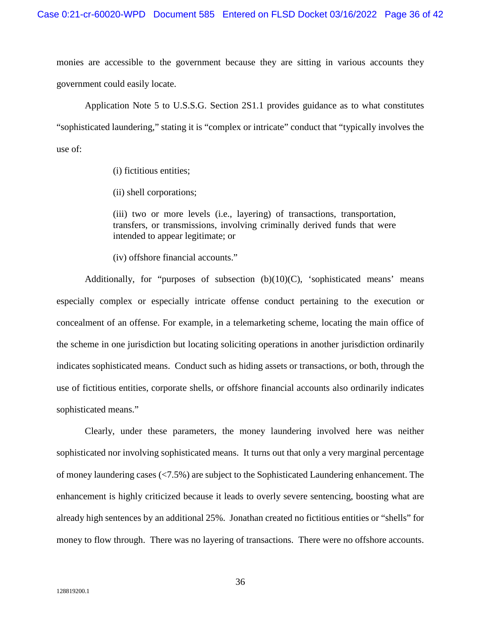monies are accessible to the government because they are sitting in various accounts they government could easily locate.

Application Note 5 to U.S.S.G. Section 2S1.1 provides guidance as to what constitutes "sophisticated laundering," stating it is "complex or intricate" conduct that "typically involves the use of:

(i) fictitious entities;

(ii) shell corporations;

(iii) two or more levels (i.e., layering) of transactions, transportation, transfers, or transmissions, involving criminally derived funds that were intended to appear legitimate; or

(iv) offshore financial accounts."

Additionally, for "purposes of subsection  $(b)(10)(C)$ , 'sophisticated means' means especially complex or especially intricate offense conduct pertaining to the execution or concealment of an offense. For example, in a telemarketing scheme, locating the main office of the scheme in one jurisdiction but locating soliciting operations in another jurisdiction ordinarily indicates sophisticated means. Conduct such as hiding assets or transactions, or both, through the use of fictitious entities, corporate shells, or offshore financial accounts also ordinarily indicates sophisticated means."

Clearly, under these parameters, the money laundering involved here was neither sophisticated nor involving sophisticated means. It turns out that only a very marginal percentage of money laundering cases (<7.5%) are subject to the Sophisticated Laundering enhancement. The enhancement is highly criticized because it leads to overly severe sentencing, boosting what are already high sentences by an additional 25%. Jonathan created no fictitious entities or "shells" for money to flow through. There was no layering of transactions. There were no offshore accounts.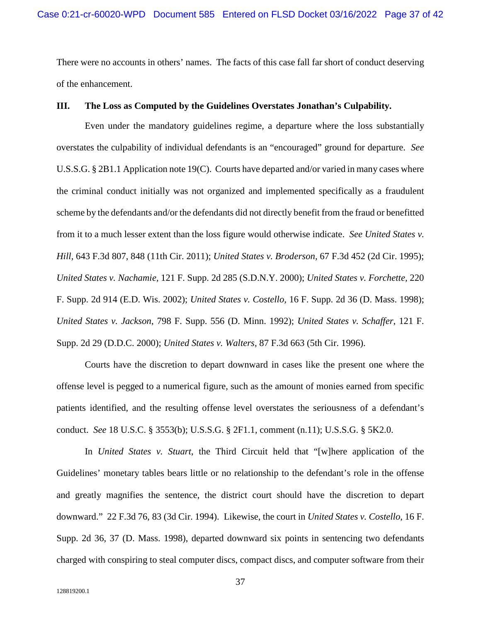There were no accounts in others' names. The facts of this case fall far short of conduct deserving of the enhancement.

#### **III. The Loss as Computed by the Guidelines Overstates Jonathan's Culpability.**

Even under the mandatory guidelines regime, a departure where the loss substantially overstates the culpability of individual defendants is an "encouraged" ground for departure. *See*  U.S.S.G. § 2B1.1 Application note 19(C). Courts have departed and/or varied in many cases where the criminal conduct initially was not organized and implemented specifically as a fraudulent scheme by the defendants and/or the defendants did not directly benefit from the fraud or benefitted from it to a much lesser extent than the loss figure would otherwise indicate. *See United States v. Hill,* 643 F.3d 807, 848 (11th Cir. 2011); *United States v. Broderson,* 67 F.3d 452 (2d Cir. 1995); *United States v. Nachamie,* 121 F. Supp. 2d 285 (S.D.N.Y. 2000); *United States v. Forchette,* 220 F. Supp. 2d 914 (E.D. Wis. 2002); *United States v. Costello,* 16 F. Supp. 2d 36 (D. Mass. 1998); *United States v. Jackson*, 798 F. Supp. 556 (D. Minn. 1992); *United States v. Schaffer*, 121 F. Supp. 2d 29 (D.D.C. 2000); *United States v. Walters,* 87 F.3d 663 (5th Cir. 1996).

Courts have the discretion to depart downward in cases like the present one where the offense level is pegged to a numerical figure, such as the amount of monies earned from specific patients identified, and the resulting offense level overstates the seriousness of a defendant's conduct. *See* 18 U.S.C. § 3553(b); U.S.S.G. § 2F1.1, comment (n.11); U.S.S.G. § 5K2.0.

In *United States v. Stuart*, the Third Circuit held that "[w]here application of the Guidelines' monetary tables bears little or no relationship to the defendant's role in the offense and greatly magnifies the sentence, the district court should have the discretion to depart downward." 22 F.3d 76, 83 (3d Cir. 1994). Likewise, the court in *United States v. Costello*, 16 F. Supp. 2d 36, 37 (D. Mass. 1998), departed downward six points in sentencing two defendants charged with conspiring to steal computer discs, compact discs, and computer software from their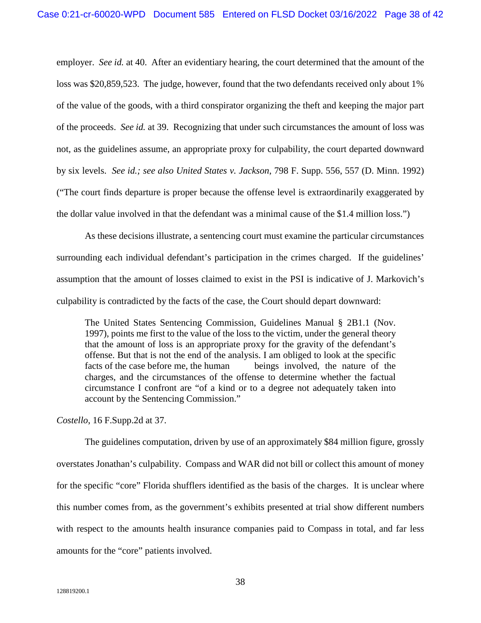employer. *See id.* at 40. After an evidentiary hearing, the court determined that the amount of the loss was \$20,859,523. The judge, however, found that the two defendants received only about 1% of the value of the goods, with a third conspirator organizing the theft and keeping the major part of the proceeds. *See id.* at 39. Recognizing that under such circumstances the amount of loss was not, as the guidelines assume, an appropriate proxy for culpability, the court departed downward by six levels. *See id.; see also United States v. Jackson*, 798 F. Supp. 556, 557 (D. Minn. 1992) ("The court finds departure is proper because the offense level is extraordinarily exaggerated by the dollar value involved in that the defendant was a minimal cause of the \$1.4 million loss.")

As these decisions illustrate, a sentencing court must examine the particular circumstances surrounding each individual defendant's participation in the crimes charged. If the guidelines' assumption that the amount of losses claimed to exist in the PSI is indicative of J. Markovich's culpability is contradicted by the facts of the case, the Court should depart downward:

The United States Sentencing Commission, Guidelines Manual § 2B1.1 (Nov. 1997), points me first to the value of the loss to the victim, under the general theory that the amount of loss is an appropriate proxy for the gravity of the defendant's offense. But that is not the end of the analysis. I am obliged to look at the specific facts of the case before me, the human beings involved, the nature of the charges, and the circumstances of the offense to determine whether the factual circumstance I confront are "of a kind or to a degree not adequately taken into account by the Sentencing Commission."

*Costello*, 16 F.Supp.2d at 37.

The guidelines computation, driven by use of an approximately \$84 million figure, grossly overstates Jonathan's culpability. Compass and WAR did not bill or collect this amount of money for the specific "core" Florida shufflers identified as the basis of the charges. It is unclear where this number comes from, as the government's exhibits presented at trial show different numbers with respect to the amounts health insurance companies paid to Compass in total, and far less amounts for the "core" patients involved.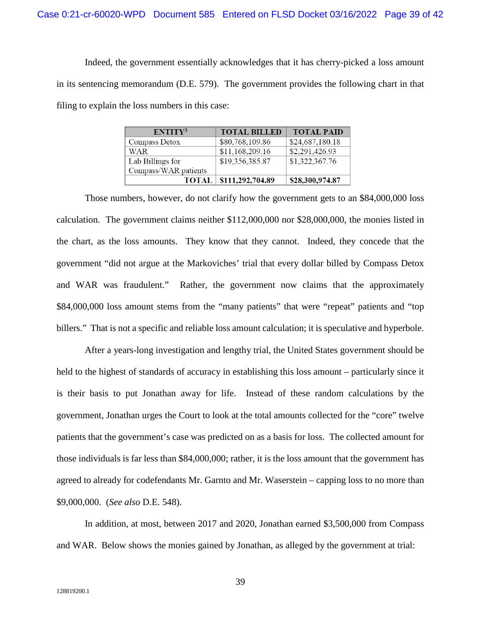Indeed, the government essentially acknowledges that it has cherry-picked a loss amount in its sentencing memorandum (D.E. 579). The government provides the following chart in that filing to explain the loss numbers in this case:

| ENTITY <sup>3</sup>  | <b>TOTAL BILLED</b> | <b>TOTAL PAID</b> |
|----------------------|---------------------|-------------------|
| <b>Compass Detox</b> | \$80,768,109.86     | \$24,687,180.18   |
| WAR                  | \$11,168,209.16     | \$2,291,426.93    |
| Lab Billings for     | \$19,356,385.87     | \$1,322,367.76    |
| Compass/WAR patients |                     |                   |
| <b>TOTAL</b>         | \$111,292,704.89    | \$28,300,974.87   |

Those numbers, however, do not clarify how the government gets to an \$84,000,000 loss calculation. The government claims neither \$112,000,000 nor \$28,000,000, the monies listed in the chart, as the loss amounts. They know that they cannot. Indeed, they concede that the government "did not argue at the Markoviches' trial that every dollar billed by Compass Detox and WAR was fraudulent." Rather, the government now claims that the approximately \$84,000,000 loss amount stems from the "many patients" that were "repeat" patients and "top billers." That is not a specific and reliable loss amount calculation; it is speculative and hyperbole.

After a years-long investigation and lengthy trial, the United States government should be held to the highest of standards of accuracy in establishing this loss amount – particularly since it is their basis to put Jonathan away for life. Instead of these random calculations by the government, Jonathan urges the Court to look at the total amounts collected for the "core" twelve patients that the government's case was predicted on as a basis for loss. The collected amount for those individuals is far less than \$84,000,000; rather, it is the loss amount that the government has agreed to already for codefendants Mr. Garnto and Mr. Waserstein – capping loss to no more than \$9,000,000. (*See also* D.E. 548).

In addition, at most, between 2017 and 2020, Jonathan earned \$3,500,000 from Compass and WAR. Below shows the monies gained by Jonathan, as alleged by the government at trial: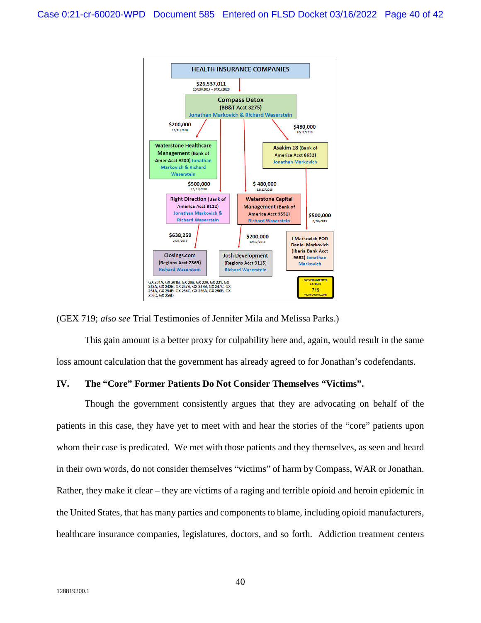

(GEX 719; *also see* Trial Testimonies of Jennifer Mila and Melissa Parks.)

This gain amount is a better proxy for culpability here and, again, would result in the same loss amount calculation that the government has already agreed to for Jonathan's codefendants.

#### **IV. The "Core" Former Patients Do Not Consider Themselves "Victims".**

Though the government consistently argues that they are advocating on behalf of the patients in this case, they have yet to meet with and hear the stories of the "core" patients upon whom their case is predicated. We met with those patients and they themselves, as seen and heard in their own words, do not consider themselves "victims" of harm by Compass, WAR or Jonathan. Rather, they make it clear – they are victims of a raging and terrible opioid and heroin epidemic in the United States, that has many parties and components to blame, including opioid manufacturers, healthcare insurance companies, legislatures, doctors, and so forth. Addiction treatment centers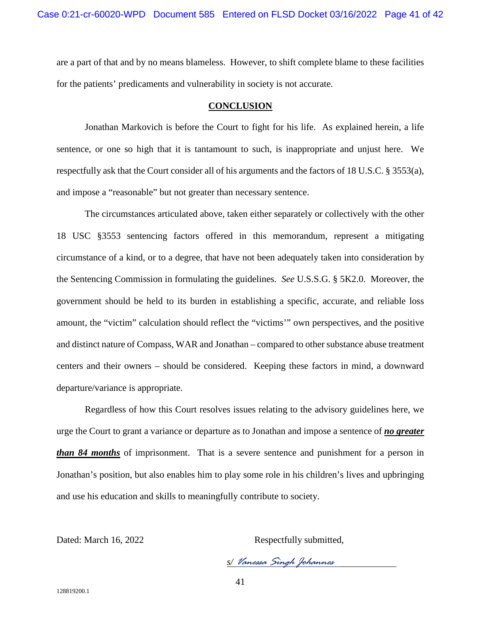are a part of that and by no means blameless. However, to shift complete blame to these facilities for the patients' predicaments and vulnerability in society is not accurate.

#### **CONCLUSION**

Jonathan Markovich is before the Court to fight for his life. As explained herein, a life sentence, or one so high that it is tantamount to such, is inappropriate and unjust here. We respectfully ask that the Court consider all of his arguments and the factors of 18 U.S.C. § 3553(a), and impose a "reasonable" but not greater than necessary sentence.

The circumstances articulated above, taken either separately or collectively with the other 18 USC §3553 sentencing factors offered in this memorandum, represent a mitigating circumstance of a kind, or to a degree, that have not been adequately taken into consideration by the Sentencing Commission in formulating the guidelines. *See* U.S.S.G. § 5K2.0. Moreover, the government should be held to its burden in establishing a specific, accurate, and reliable loss amount, the "victim" calculation should reflect the "victims'" own perspectives, and the positive and distinct nature of Compass, WAR and Jonathan – compared to other substance abuse treatment centers and their owners – should be considered. Keeping these factors in mind, a downward departure/variance is appropriate.

Regardless of how this Court resolves issues relating to the advisory guidelines here, we urge the Court to grant a variance or departure as to Jonathan and impose a sentence of *no greater than 84 months* of imprisonment. That is a severe sentence and punishment for a person in Jonathan's position, but also enables him to play some role in his children's lives and upbringing and use his education and skills to meaningfully contribute to society.

Dated: March 16, 2022 Respectfully submitted,

*s/ Vanessa Singh Johannes*